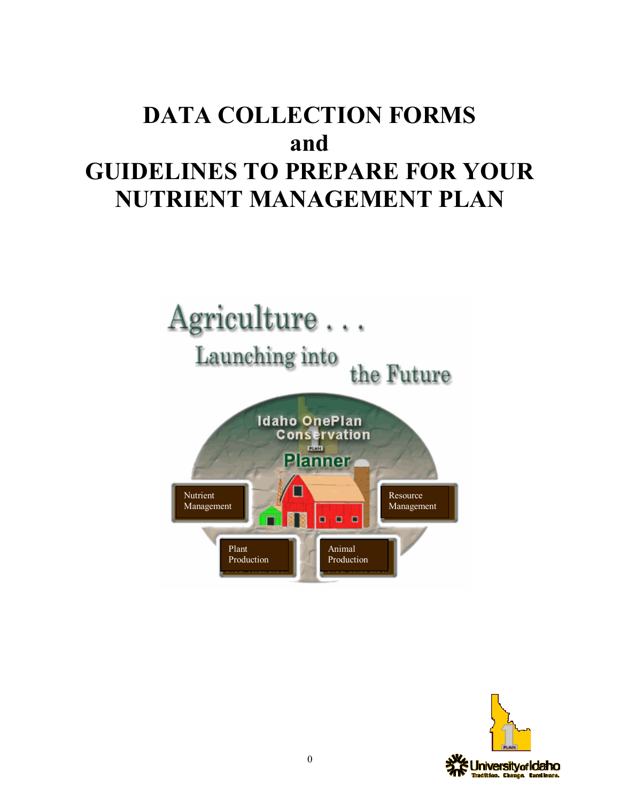# **DATA COLLECTION FORMS and GUIDELINES TO PREPARE FOR YOUR NUTRIENT MANAGEMENT PLAN**



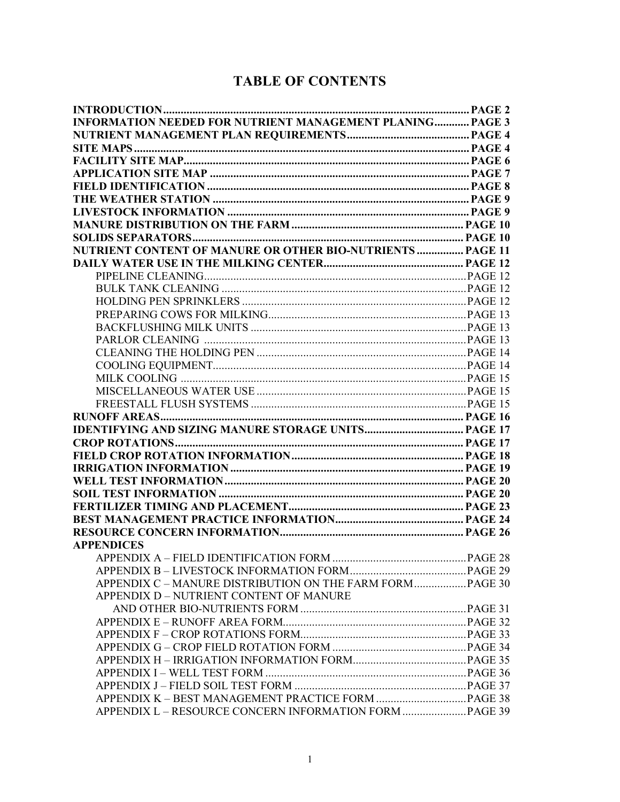# **TABLE OF CONTENTS**

| <b>INFORMATION NEEDED FOR NUTRIENT MANAGEMENT PLANING PAGE 3</b>  |  |
|-------------------------------------------------------------------|--|
|                                                                   |  |
|                                                                   |  |
|                                                                   |  |
|                                                                   |  |
|                                                                   |  |
|                                                                   |  |
|                                                                   |  |
|                                                                   |  |
|                                                                   |  |
| <b>NUTRIENT CONTENT OF MANURE OR OTHER BIO-NUTRIENTS  PAGE 11</b> |  |
|                                                                   |  |
|                                                                   |  |
|                                                                   |  |
|                                                                   |  |
|                                                                   |  |
|                                                                   |  |
|                                                                   |  |
|                                                                   |  |
|                                                                   |  |
|                                                                   |  |
|                                                                   |  |
|                                                                   |  |
|                                                                   |  |
|                                                                   |  |
|                                                                   |  |
|                                                                   |  |
|                                                                   |  |
|                                                                   |  |
|                                                                   |  |
|                                                                   |  |
|                                                                   |  |
|                                                                   |  |
| <b>APPENDICES</b>                                                 |  |
|                                                                   |  |
|                                                                   |  |
| APPENDIX C - MANURE DISTRIBUTION ON THE FARM FORM  PAGE 30        |  |
| APPENDIX D - NUTRIENT CONTENT OF MANURE                           |  |
|                                                                   |  |
|                                                                   |  |
|                                                                   |  |
|                                                                   |  |
|                                                                   |  |
|                                                                   |  |
|                                                                   |  |
|                                                                   |  |
| APPENDIX L - RESOURCE CONCERN INFORMATION FORM  PAGE 39           |  |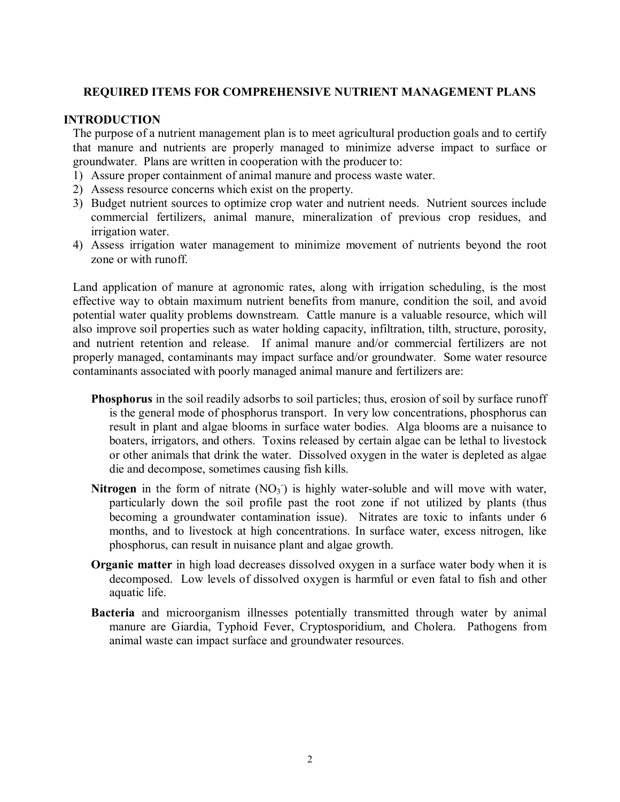#### **REQUIRED ITEMS FOR COMPREHENSIVE NUTRIENT MANAGEMENT PLANS**

#### **INTRODUCTION**

The purpose of a nutrient management plan is to meet agricultural production goals and to certify that manure and nutrients are properly managed to minimize adverse impact to surface or groundwater. Plans are written in cooperation with the producer to:

- 1) Assure proper containment of animal manure and process waste water.
- 2) Assess resource concerns which exist on the property.
- 3) Budget nutrient sources to optimize crop water and nutrient needs. Nutrient sources include commercial fertilizers, animal manure, mineralization of previous crop residues, and irrigation water.
- 4) Assess irrigation water management to minimize movement of nutrients beyond the root zone or with runoff.

Land application of manure at agronomic rates, along with irrigation scheduling, is the most effective way to obtain maximum nutrient benefits from manure, condition the soil, and avoid potential water quality problems downstream. Cattle manure is a valuable resource, which will also improve soil properties such as water holding capacity, infiltration, tilth, structure, porosity, and nutrient retention and release.If animal manure and/or commercial fertilizers are not properly managed, contaminants may impact surface and/or groundwater. Some water resource contaminants associated with poorly managed animal manure and fertilizers are:

- **Phosphorus** in the soil readily adsorbs to soil particles; thus, erosion of soil by surface runoff is the general mode of phosphorus transport. In very low concentrations, phosphorus can result in plant and algae blooms in surface water bodies. Alga blooms are a nuisance to boaters, irrigators, and others. Toxins released by certain algae can be lethal to livestock or other animals that drink the water. Dissolved oxygen in the water is depleted as algae die and decompose, sometimes causing fish kills.
- Nitrogen in the form of nitrate  $(NO<sub>3</sub>)$  is highly water-soluble and will move with water, particularly down the soil profile past the root zone if not utilized by plants (thus becoming a groundwater contamination issue). Nitrates are toxic to infants under 6 months, and to livestock at high concentrations. In surface water, excess nitrogen, like phosphorus, can result in nuisance plant and algae growth.
- **Organic matter** in high load decreases dissolved oxygen in a surface water body when it is decomposed. Low levels of dissolved oxygen is harmful or even fatal to fish and other aquatic life.
- **Bacteria** and microorganism illnesses potentially transmitted through water by animal manure are Giardia, Typhoid Fever, Cryptosporidium, and Cholera. Pathogens from animal waste can impact surface and groundwater resources.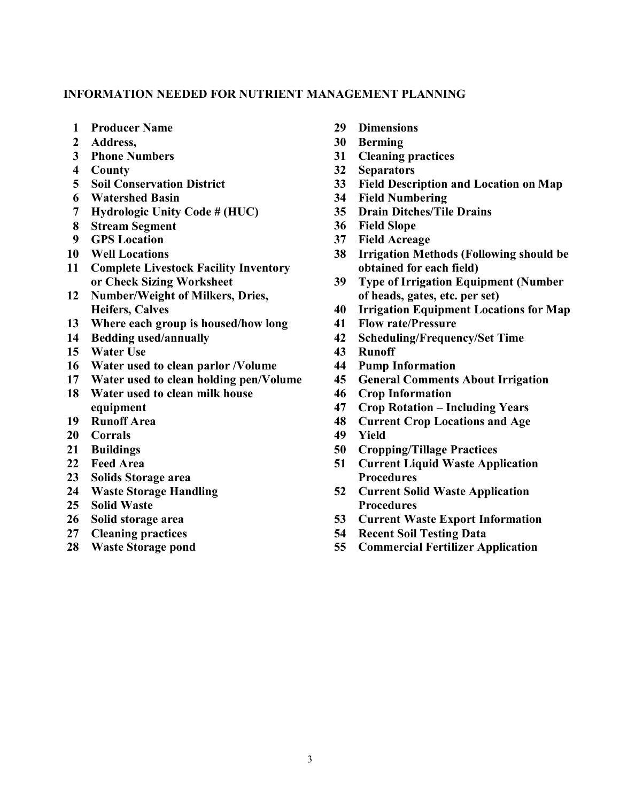#### **INFORMATION NEEDED FOR NUTRIENT MANAGEMENT PLANNING**

- **1 Producer Name**
- **2 Address,**
- **3 Phone Numbers**
- **4 County**
- **5 Soil Conservation District**
- **6 Watershed Basin**
- **7 Hydrologic Unity Code # (HUC)**
- **8 Stream Segment**
- **9 GPS Location**
- **10 Well Locations**
- **11 Complete Livestock Facility Inventory or Check Sizing Worksheet**
- **12 Number/Weight of Milkers, Dries, Heifers, Calves**
- **13 Where each group is housed/how long**
- **14 Bedding used/annually**
- **15 Water Use**
- **16 Water used to clean parlor /Volume**
- **17 Water used to clean holding pen/Volume**
- **18 Water used to clean milk house equipment**
- **19 Runoff Area**
- **20 Corrals**
- **21 Buildings**
- **22 Feed Area**
- **23 Solids Storage area**
- **24 Waste Storage Handling**
- **25 Solid Waste**
- **26 Solid storage area**
- **27 Cleaning practices**
- **28 Waste Storage pond**
- **29 Dimensions**
- **30 Berming**
- **31 Cleaning practices**
- **32 Separators**
- **33 Field Description and Location on Map**
- **34 Field Numbering**
- **35 Drain Ditches/Tile Drains**
- **36 Field Slope**
- **37 Field Acreage**
- **38 Irrigation Methods (Following should be obtained for each field)**
- **39 Type of Irrigation Equipment (Number of heads, gates, etc. per set)**
- **40 Irrigation Equipment Locations for Map**
- **41 Flow rate/Pressure**
- **42 Scheduling/Frequency/Set Time**
- **43 Runoff**
- **44 Pump Information**
- **45 General Comments About Irrigation**
- **46 Crop Information**
- **47 Crop Rotation Including Years**
- **48 Current Crop Locations and Age**
- **49 Yield**
- **50 Cropping/Tillage Practices**
- **51 Current Liquid Waste Application Procedures**
- **52 Current Solid Waste Application Procedures**
- **53 Current Waste Export Information**
- **54 Recent Soil Testing Data**
- **55 Commercial Fertilizer Application**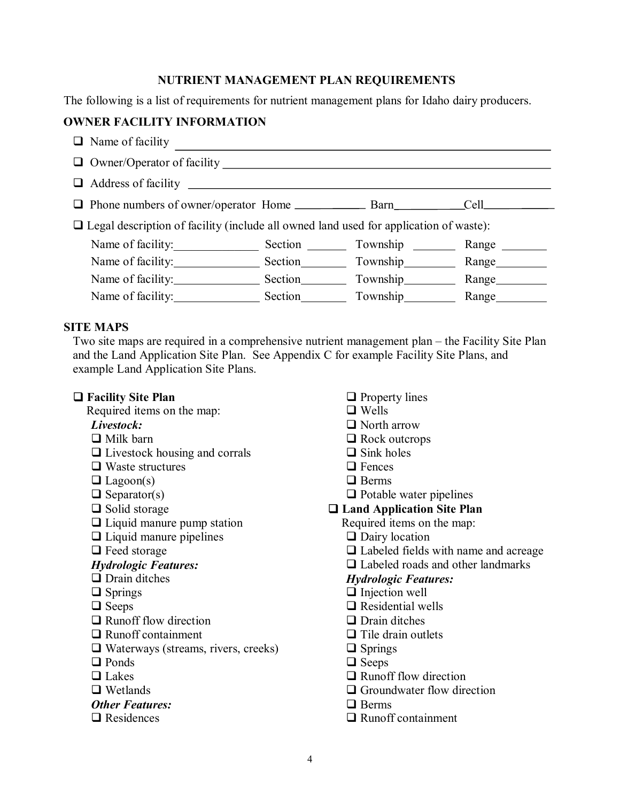### **NUTRIENT MANAGEMENT PLAN REQUIREMENTS**

The following is a list of requirements for nutrient management plans for Idaho dairy producers.

### **OWNER FACILITY INFORMATION**

| $\Box$ Name of facility                                                                      |  |                  |       |  |
|----------------------------------------------------------------------------------------------|--|------------------|-------|--|
| $\Box$ Owner/Operator of facility $\Box$                                                     |  |                  |       |  |
| $\Box$ Address of facility $\Box$                                                            |  |                  |       |  |
|                                                                                              |  |                  |       |  |
| $\Box$ Legal description of facility (include all owned land used for application of waste): |  |                  |       |  |
| Name of facility:                                                                            |  | Section Township | Range |  |
| Name of facility: Section Township Range                                                     |  |                  |       |  |
| Name of facility: Section Township                                                           |  |                  | Range |  |
| Name of facility:                                                                            |  | Section Township | Range |  |

### **SITE MAPS**

Two site maps are required in a comprehensive nutrient management plan – the Facility Site Plan and the Land Application Site Plan. See Appendix C for example Facility Site Plans, and example Land Application Site Plans.

### **Facility Site Plan**

Required items on the map:

#### *Livestock:*

- $\Box$  Milk barn
- $\Box$  Livestock housing and corrals
- $\Box$  Waste structures
- $\Box$  Lagoon(s)
- $\Box$  Separator(s)
- $\Box$  Solid storage
- $\Box$  Liquid manure pump station
- $\Box$  Liquid manure pipelines
- □ Feed storage
- *Hydrologic Features:*
- $\Box$  Drain ditches
- $\Box$  Springs
- $\Box$  Seeps
- □ Runoff flow direction
- □ Runoff containment
- $\Box$  Waterways (streams, rivers, creeks)
- □ Ponds
- $\Box$  Lakes
- □ Wetlands

### *Other Features:*

□ Residences

- $\Box$  Property lines
- □ Wells
- North arrow
- **□** Rock outcrops
- $\Box$  Sink holes
- $\Box$  Fences
- $\Box$  Berms
- $\Box$  Potable water pipelines
- **Land Application Site Plan** 
	- Required items on the map:
	- □ Dairy location
	- □ Labeled fields with name and acreage
	- □ Labeled roads and other landmarks

#### *Hydrologic Features:*

- **Injection well**
- $\Box$  Residential wells
- $\Box$  Drain ditches
- $\Box$  Tile drain outlets
- $\Box$  Springs
- $\Box$  Seeps
- □ Runoff flow direction
- $\Box$  Groundwater flow direction
- $\Box$  Berms
- □ Runoff containment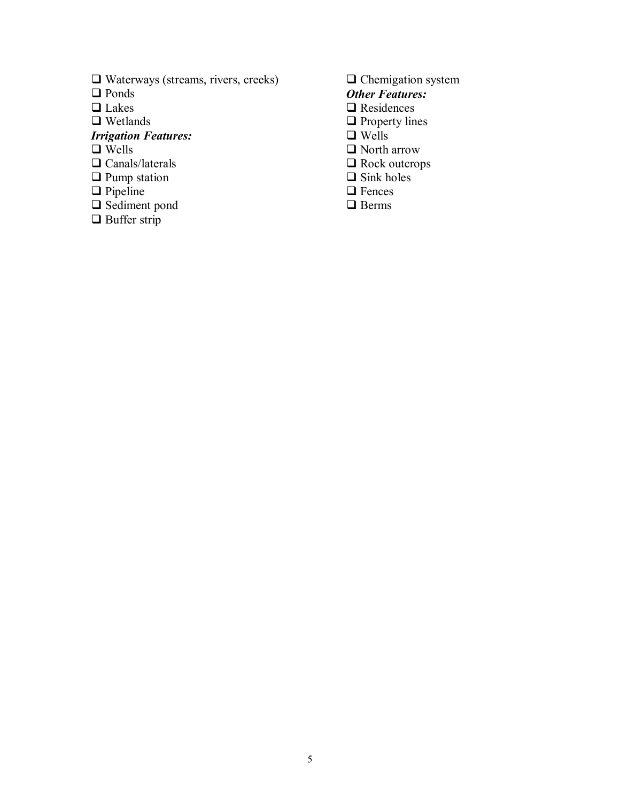- $\Box$  Waterways (streams, rivers, creeks)
- □ Ponds
- Lakes
- Wetlands

# *Irrigation Features:*

- **□** Wells
- Canals/laterals
- **Q** Pump station
- $\Box$  Pipeline
- Sediment pond
- $\Box$  Buffer strip

**Q** Chemigation system

- *Other Features:*
- □ Residences
- $\Box$  Property lines
- **□** Wells
- North arrow
- □ Rock outcrops
- $\Box$  Sink holes
- $\Box$  Fences
- □ Berms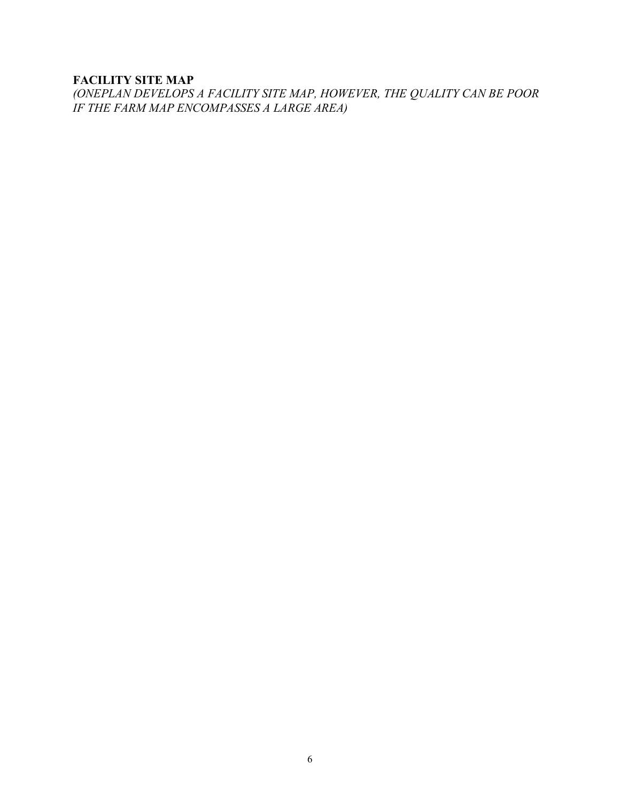# **FACILITY SITE MAP**

*(ONEPLAN DEVELOPS A FACILITY SITE MAP, HOWEVER, THE QUALITY CAN BE POOR IF THE FARM MAP ENCOMPASSES A LARGE AREA)*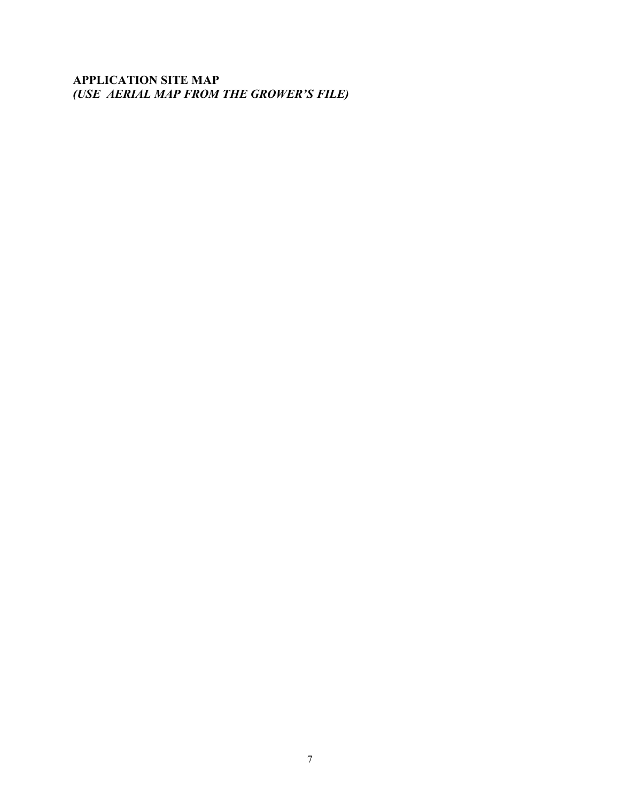**APPLICATION SITE MAP**  *(USE AERIAL MAP FROM THE GROWER'S FILE)*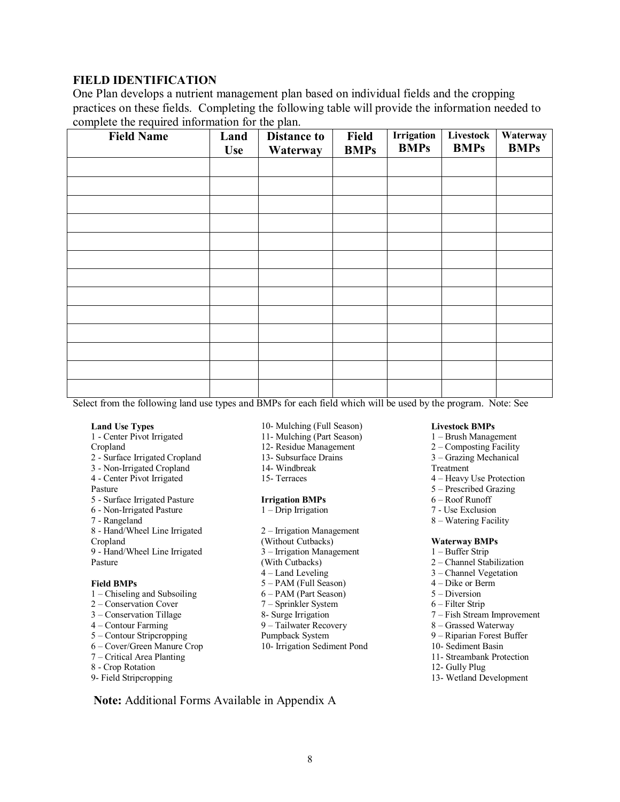#### **FIELD IDENTIFICATION**

One Plan develops a nutrient management plan based on individual fields and the cropping practices on these fields. Completing the following table will provide the information needed to complete the required information for the plan.

| <b>Field Name</b> | Land<br><b>Use</b> | <b>Distance to</b><br>Waterway | <b>Field</b><br><b>BMPs</b> | <b>Irrigation</b><br><b>BMPs</b> | Livestock<br><b>BMPs</b> | Waterway<br><b>BMPs</b> |
|-------------------|--------------------|--------------------------------|-----------------------------|----------------------------------|--------------------------|-------------------------|
|                   |                    |                                |                             |                                  |                          |                         |
|                   |                    |                                |                             |                                  |                          |                         |
|                   |                    |                                |                             |                                  |                          |                         |
|                   |                    |                                |                             |                                  |                          |                         |
|                   |                    |                                |                             |                                  |                          |                         |
|                   |                    |                                |                             |                                  |                          |                         |
|                   |                    |                                |                             |                                  |                          |                         |
|                   |                    |                                |                             |                                  |                          |                         |
|                   |                    |                                |                             |                                  |                          |                         |
|                   |                    |                                |                             |                                  |                          |                         |
|                   |                    |                                |                             |                                  |                          |                         |
|                   |                    |                                |                             |                                  |                          |                         |
|                   |                    |                                |                             |                                  |                          |                         |

Select from the following land use types and BMPs for each field which will be used by the program. Note: See

#### **Land Use Types**

- 1 Center Pivot Irrigated
- Cropland
- 2 Surface Irrigated Cropland
- 3 Non-Irrigated Cropland 4 - Center Pivot Irrigated
- 
- Pasture
- 5 Surface Irrigated Pasture 6 - Non-Irrigated Pasture
- 7 Rangeland
- 8 Hand/Wheel Line Irrigated
- Cropland 9 - Hand/Wheel Line Irrigated Pasture

#### **Field BMPs**

- 1 Chiseling and Subsoiling
- 2 Conservation Cover
- 3 Conservation Tillage
- 4 Contour Farming
- 5 Contour Stripcropping
- 6 Cover/Green Manure Crop
- 7 Critical Area Planting
- 8 Crop Rotation
- 9- Field Stripcropping
- 10- Mulching (Full Season)
- 11- Mulching (Part Season)
- 12- Residue Management
- 13- Subsurface Drains
- 14- Windbreak
- 15- Terraces

#### **Irrigation BMPs**  1 – Drip Irrigation

- 2 Irrigation Management (Without Cutbacks) 3 – Irrigation Management (With Cutbacks) 4 – Land Leveling 5 – PAM (Full Season) 6 – PAM (Part Season) 7 – Sprinkler System 8- Surge Irrigation
- 9 Tailwater Recovery
- Pumpback System 10- Irrigation Sediment Pond
- 
- 
- 

#### 2 – Composting Facility 3 – Grazing Mechanical

- Treatment
- 4 Heavy Use Protection
- 5 Prescribed Grazing
- 6 Roof Runoff

**Livestock BMPs**  1 – Brush Management

- 7 Use Exclusion
- 8 Watering Facility

#### **Waterway BMPs**

- 1 Buffer Strip
- 2 Channel Stabilization
- 3 Channel Vegetation
- 4 Dike or Berm
- 5 Diversion
- 6 Filter Strip
- 7 Fish Stream Improvement
- 8 Grassed Waterway
- 9 Riparian Forest Buffer
- 10- Sediment Basin
- 11- Streambank Protection
- 12- Gully Plug
- 13- Wetland Development

**Note:** Additional Forms Available in Appendix A

8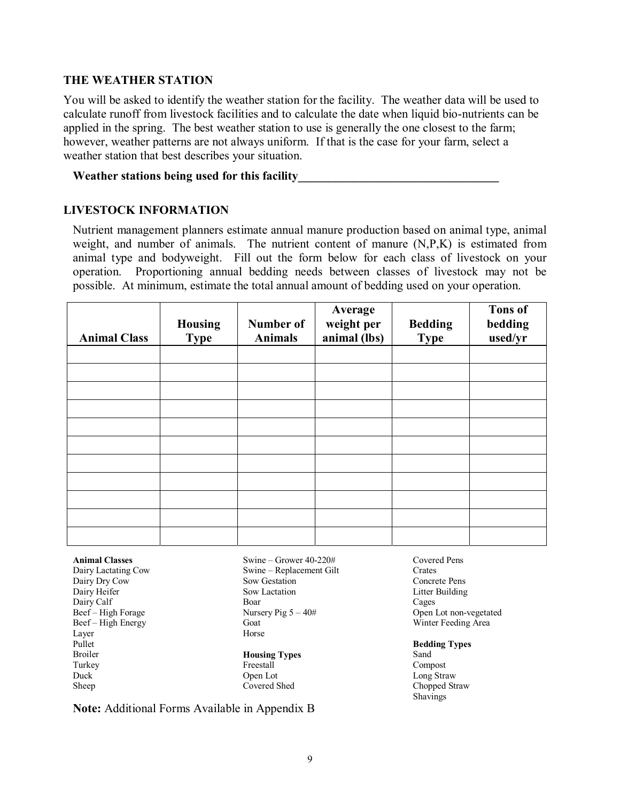#### **THE WEATHER STATION**

You will be asked to identify the weather station for the facility. The weather data will be used to calculate runoff from livestock facilities and to calculate the date when liquid bio-nutrients can be applied in the spring. The best weather station to use is generally the one closest to the farm; however, weather patterns are not always uniform. If that is the case for your farm, select a weather station that best describes your situation.

#### Weather stations being used for this facility

### **LIVESTOCK INFORMATION**

Nutrient management planners estimate annual manure production based on animal type, animal weight, and number of animals. The nutrient content of manure (N,P,K) is estimated from animal type and bodyweight. Fill out the form below for each class of livestock on your operation. Proportioning annual bedding needs between classes of livestock may not be possible. At minimum, estimate the total annual amount of bedding used on your operation.

| <b>Animal Class</b> | <b>Housing</b><br><b>Type</b> | Number of<br><b>Animals</b> | Average<br>weight per<br>animal (lbs) | <b>Bedding</b><br><b>Type</b> | <b>Tons of</b><br>bedding<br>used/yr |
|---------------------|-------------------------------|-----------------------------|---------------------------------------|-------------------------------|--------------------------------------|
|                     |                               |                             |                                       |                               |                                      |
|                     |                               |                             |                                       |                               |                                      |
|                     |                               |                             |                                       |                               |                                      |
|                     |                               |                             |                                       |                               |                                      |
|                     |                               |                             |                                       |                               |                                      |
|                     |                               |                             |                                       |                               |                                      |
|                     |                               |                             |                                       |                               |                                      |
|                     |                               |                             |                                       |                               |                                      |
|                     |                               |                             |                                       |                               |                                      |
|                     |                               |                             |                                       |                               |                                      |
|                     |                               |                             |                                       |                               |                                      |

| <b>Animal Classes</b> | Swine – Grower       |
|-----------------------|----------------------|
| Dairy Lactating Cow   | Swine – Replace      |
| Dairy Dry Cow         | Sow Gestation        |
| Dairy Heifer          | Sow Lactation        |
| Dairy Calf            | Boar                 |
| Beef – High Forage    | Nursery Pig $5 -$    |
| Beef – High Energy    | Goat                 |
| Layer                 | Horse                |
| Pullet                |                      |
| <b>Broiler</b>        | <b>Housing Types</b> |
| Turkey                | Freestall            |
| Duck                  | Open Lot             |
| Sheep                 | <b>Covered Shed</b>  |
|                       |                      |

 $r 40 - 220#$ ement Gilt 40#

Covered Pens Crates Concrete Pens Litter Building Cages Open Lot non-vegetated Winter Feeding Area

**Bedding Types**  Sand Compost Long Straw Chopped Straw Shavings

**Note:** Additional Forms Available in Appendix B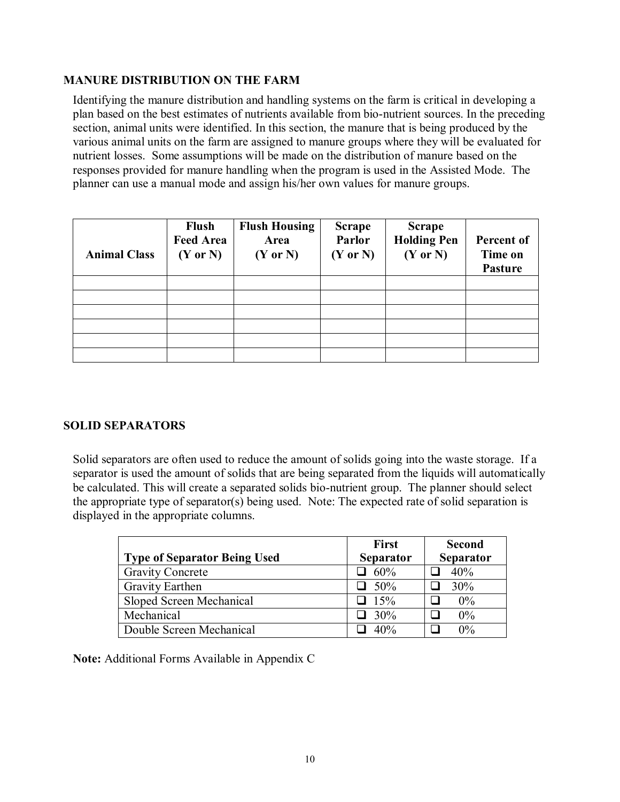### **MANURE DISTRIBUTION ON THE FARM**

Identifying the manure distribution and handling systems on the farm is critical in developing a plan based on the best estimates of nutrients available from bio-nutrient sources. In the preceding section, animal units were identified. In this section, the manure that is being produced by the various animal units on the farm are assigned to manure groups where they will be evaluated for nutrient losses. Some assumptions will be made on the distribution of manure based on the responses provided for manure handling when the program is used in the Assisted Mode. The planner can use a manual mode and assign his/her own values for manure groups.

| <b>Animal Class</b> | <b>Flush</b><br><b>Feed Area</b><br>$(Y \text{ or } N)$ | <b>Flush Housing</b><br>Area<br>$(Y \text{ or } N)$ | <b>Scrape</b><br><b>Parlor</b><br>$(Y \text{ or } N)$ | <b>Scrape</b><br><b>Holding Pen</b><br>$(Y \text{ or } N)$ | Percent of<br>Time on<br><b>Pasture</b> |
|---------------------|---------------------------------------------------------|-----------------------------------------------------|-------------------------------------------------------|------------------------------------------------------------|-----------------------------------------|
|                     |                                                         |                                                     |                                                       |                                                            |                                         |
|                     |                                                         |                                                     |                                                       |                                                            |                                         |
|                     |                                                         |                                                     |                                                       |                                                            |                                         |
|                     |                                                         |                                                     |                                                       |                                                            |                                         |
|                     |                                                         |                                                     |                                                       |                                                            |                                         |
|                     |                                                         |                                                     |                                                       |                                                            |                                         |

### **SOLID SEPARATORS**

Solid separators are often used to reduce the amount of solids going into the waste storage. If a separator is used the amount of solids that are being separated from the liquids will automatically be calculated. This will create a separated solids bio-nutrient group. The planner should select the appropriate type of separator(s) being used. Note: The expected rate of solid separation is displayed in the appropriate columns.

| <b>Type of Separator Being Used</b> | <b>First</b><br><b>Separator</b> | <b>Second</b><br><b>Separator</b> |
|-------------------------------------|----------------------------------|-----------------------------------|
|                                     |                                  |                                   |
| <b>Gravity Concrete</b>             | $\Box 60\%$                      | 40%                               |
| Gravity Earthen                     | $\Box$ 50%                       | 30%                               |
| Sloped Screen Mechanical            | $\Box$ 15%                       | $0\%$                             |
| Mechanical                          | $\Box$ 30%                       | $0\%$                             |
| Double Screen Mechanical            | 40%                              | $0\%$                             |

**Note:** Additional Forms Available in Appendix C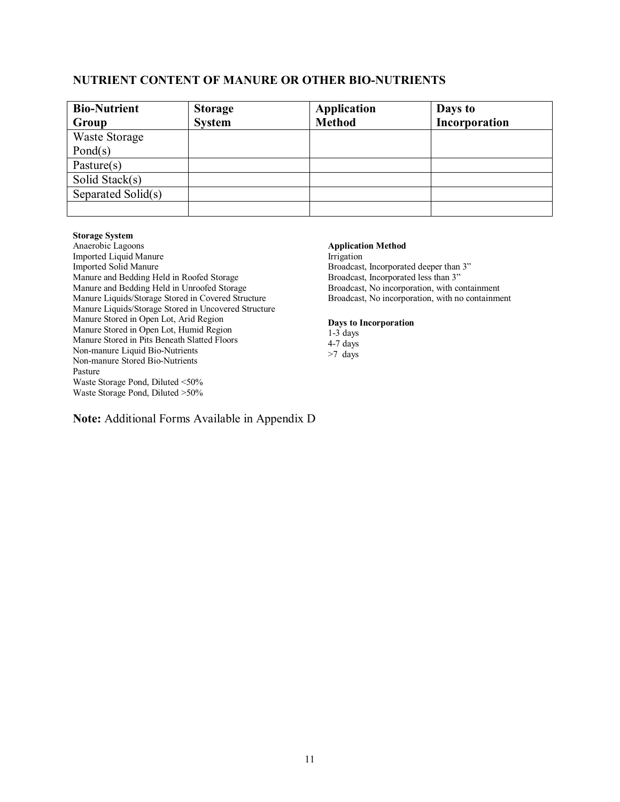### **NUTRIENT CONTENT OF MANURE OR OTHER BIO-NUTRIENTS**

| <b>Bio-Nutrient</b> | <b>Storage</b> | <b>Application</b> | Days to       |
|---------------------|----------------|--------------------|---------------|
| Group               | <b>System</b>  | <b>Method</b>      | Incorporation |
| Waste Storage       |                |                    |               |
| Pond(s)             |                |                    |               |
| Pasture $(s)$       |                |                    |               |
| Solid Stack(s)      |                |                    |               |
| Separated Solid(s)  |                |                    |               |
|                     |                |                    |               |

#### **Storage System**

Anaerobic Lagoons Imported Liquid Manure Imported Solid Manure Manure and Bedding Held in Roofed Storage Manure and Bedding Held in Unroofed Storage Manure Liquids/Storage Stored in Covered Structure Manure Liquids/Storage Stored in Uncovered Structure Manure Stored in Open Lot, Arid Region Manure Stored in Open Lot, Humid Region Manure Stored in Pits Beneath Slatted Floors Non-manure Liquid Bio-Nutrients Non-manure Stored Bio-Nutrients Pasture Waste Storage Pond, Diluted <50% Waste Storage Pond, Diluted >50%

#### **Note:** Additional Forms Available in Appendix D

#### **Application Method**

Irrigation Broadcast, Incorporated deeper than 3" Broadcast, Incorporated less than 3" Broadcast, No incorporation, with containment Broadcast, No incorporation, with no containment

#### **Days to Incorporation**

1-3 days 4-7 days >7 days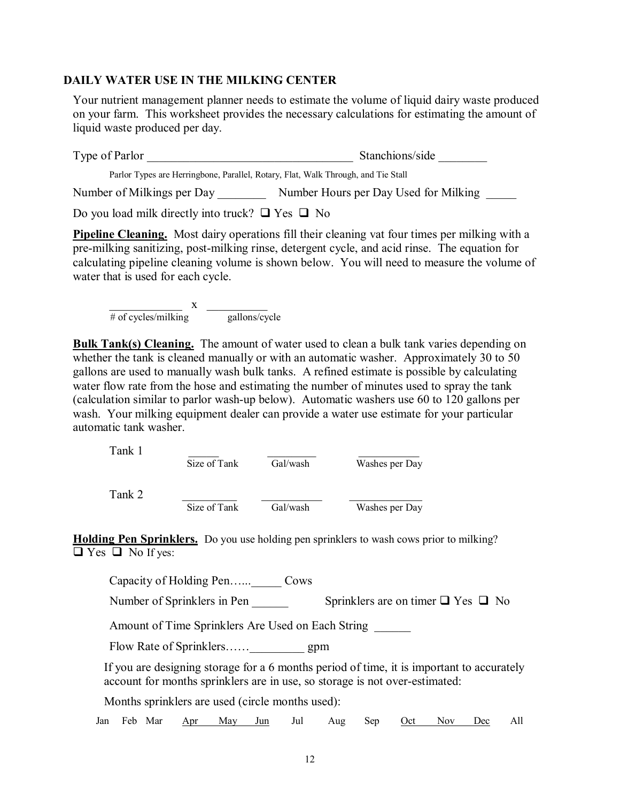#### **DAILY WATER USE IN THE MILKING CENTER**

Your nutrient management planner needs to estimate the volume of liquid dairy waste produced on your farm. This worksheet provides the necessary calculations for estimating the amount of liquid waste produced per day.

Type of Parlor Stanchions/side Parlor Types are Herringbone, Parallel, Rotary, Flat, Walk Through, and Tie Stall Number of Milkings per Day \_\_\_\_\_\_\_\_\_\_\_ Number Hours per Day Used for Milking

Do you load milk directly into truck?  $\Box$  Yes  $\Box$  No

**Pipeline Cleaning.** Most dairy operations fill their cleaning vat four times per milking with a pre-milking sanitizing, post-milking rinse, detergent cycle, and acid rinse. The equation for calculating pipeline cleaning volume is shown below. You will need to measure the volume of water that is used for each cycle.

 ${\bf x}$ # of cycles/milking gallons/cycle

**Bulk Tank(s) Cleaning.** The amount of water used to clean a bulk tank varies depending on whether the tank is cleaned manually or with an automatic washer. Approximately 30 to 50 gallons are used to manually wash bulk tanks. A refined estimate is possible by calculating water flow rate from the hose and estimating the number of minutes used to spray the tank (calculation similar to parlor wash-up below). Automatic washers use 60 to 120 gallons per wash. Your milking equipment dealer can provide a water use estimate for your particular automatic tank washer.

Tank 1  $\Box$ 

 $\overline{\text{Size of Tank}}$  Gal/wash Washes per Day Tank 2 \_\_\_\_\_\_\_\_\_ \_\_\_\_\_\_\_\_\_\_ \_\_\_\_\_\_\_\_\_\_\_\_ Size of Tank Gal/wash Washes per Day

**Holding Pen Sprinklers.** Do you use holding pen sprinklers to wash cows prior to milking?  $\Box$  Yes  $\Box$  No If yes:

Capacity of Holding Pen…...\_\_\_\_\_ Cows Number of Sprinklers in Pen Sprinklers are on timer  $\Box$  Yes  $\Box$  No Amount of Time Sprinklers Are Used on Each String Flow Rate of Sprinklers……\_\_\_\_\_\_\_\_\_\_\_\_ gpm If you are designing storage for a 6 months period of time, it is important to accurately account for months sprinklers are in use, so storage is not over-estimated:

Months sprinklers are used (circle months used):

Jan Feb Mar Apr May Jun Jul Aug Sep Oct Nov Dec All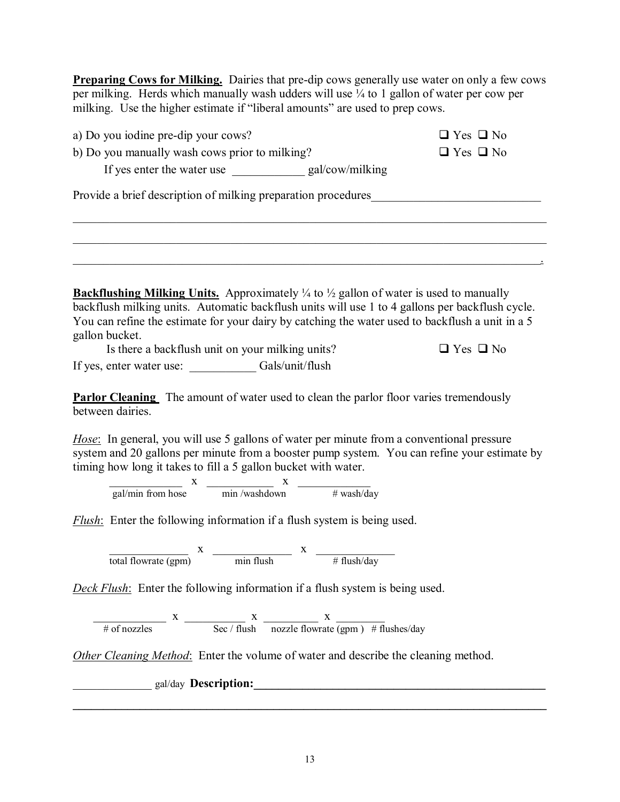| <b>Preparing Cows for Milking.</b> Dairies that pre-dip cows generally use water on only a few cows   |
|-------------------------------------------------------------------------------------------------------|
| per milking. Herds which manually wash udders will use $\frac{1}{4}$ to 1 gallon of water per cow per |
| milking. Use the higher estimate if "liberal amounts" are used to prep cows.                          |

| a) Do you iodine pre-dip your cows?<br>b) Do you manually wash cows prior to milking?<br>If yes enter the water use ________________ gal/cow/milking                                                                                                                                                                                         | $\Box$ Yes $\Box$ No<br>$\Box$ Yes $\Box$ No |
|----------------------------------------------------------------------------------------------------------------------------------------------------------------------------------------------------------------------------------------------------------------------------------------------------------------------------------------------|----------------------------------------------|
| Provide a brief description of milking preparation procedures                                                                                                                                                                                                                                                                                |                                              |
|                                                                                                                                                                                                                                                                                                                                              |                                              |
|                                                                                                                                                                                                                                                                                                                                              |                                              |
| <b>Backflushing Milking Units.</b> Approximately $\frac{1}{4}$ to $\frac{1}{2}$ gallon of water is used to manually<br>backflush milking units. Automatic backflush units will use 1 to 4 gallons per backflush cycle.<br>You can refine the estimate for your dairy by catching the water used to backflush a unit in a 5<br>gallon bucket. |                                              |
| Is there a backflush unit on your milking units?                                                                                                                                                                                                                                                                                             | $\Box$ Yes $\Box$ No                         |
| If yes, enter water use: _______________Gals/unit/flush                                                                                                                                                                                                                                                                                      |                                              |
| <b>Parlor Cleaning</b> The amount of water used to clean the parlor floor varies tremendously<br>between dairies.                                                                                                                                                                                                                            |                                              |
| Hose: In general, you will use 5 gallons of water per minute from a conventional pressure<br>system and 20 gallons per minute from a booster pump system. You can refine your estimate by<br>timing how long it takes to fill a 5 gallon bucket with water.                                                                                  |                                              |
| gal/min from hose $\frac{x}{\min/\text{washdown}}$ $\frac{x}{\min/\text{washdown}}$ $\frac{1}{\text{wash/day}}$                                                                                                                                                                                                                              |                                              |
|                                                                                                                                                                                                                                                                                                                                              |                                              |
| <b>Flush:</b> Enter the following information if a flush system is being used.                                                                                                                                                                                                                                                               |                                              |
| $\frac{x}{\text{total flowrate (gpm)}}$ $\frac{x}{\text{min flush}}$ $\frac{x}{\text{# flush/day}}$                                                                                                                                                                                                                                          |                                              |

*Deck Flush*: Enter the following information if a flush system is being used.

 $X$   $X$   $X$   $X$ # of nozzles Sec / flush nozzle flowrate (gpm ) # flushes/day

*Other Cleaning Method*: Enter the volume of water and describe the cleaning method.

\_\_\_\_\_\_\_\_\_\_\_\_\_ gal/day **Description:\_\_\_\_\_\_\_\_\_\_\_\_\_\_\_\_\_\_\_\_\_\_\_\_\_\_\_\_\_\_\_\_\_\_\_\_\_\_\_\_\_\_\_\_\_\_\_\_** 

 $\mathcal{L}_\mathcal{L} = \{ \mathcal{L}_\mathcal{L} = \{ \mathcal{L}_\mathcal{L} = \{ \mathcal{L}_\mathcal{L} = \{ \mathcal{L}_\mathcal{L} = \{ \mathcal{L}_\mathcal{L} = \{ \mathcal{L}_\mathcal{L} = \{ \mathcal{L}_\mathcal{L} = \{ \mathcal{L}_\mathcal{L} = \{ \mathcal{L}_\mathcal{L} = \{ \mathcal{L}_\mathcal{L} = \{ \mathcal{L}_\mathcal{L} = \{ \mathcal{L}_\mathcal{L} = \{ \mathcal{L}_\mathcal{L} = \{ \mathcal{L}_\mathcal{$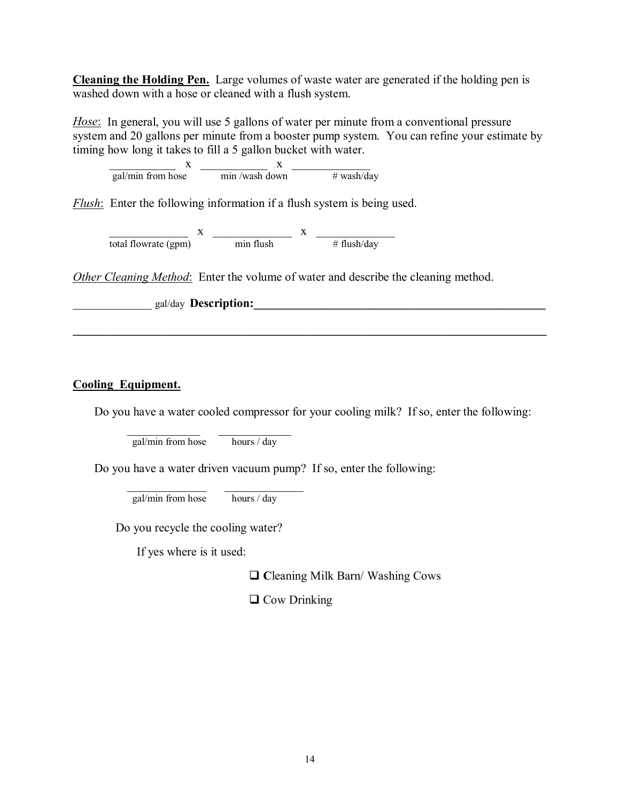**Cleaning the Holding Pen.** Large volumes of waste water are generated if the holding pen is washed down with a hose or cleaned with a flush system.

*Hose*: In general, you will use 5 gallons of water per minute from a conventional pressure system and 20 gallons per minute from a booster pump system. You can refine your estimate by timing how long it takes to fill a 5 gallon bucket with water.

 $X$   $X$ gal/min from hose min /wash down  $#$  wash/day

*Flush*: Enter the following information if a flush system is being used.

 $X$   $X$ total flowrate (gpm) min flush # flush/day

*Other Cleaning Method*: Enter the volume of water and describe the cleaning method.

gal/day **Description:** 

### **Cooling Equipment.**

Do you have a water cooled compressor for your cooling milk? If so, enter the following:

**\_\_\_\_\_\_\_\_\_\_\_\_\_\_\_\_\_\_\_\_\_\_\_\_\_\_\_\_\_\_\_\_\_\_\_\_\_\_\_\_\_\_\_\_\_\_\_\_\_\_\_\_\_\_\_\_\_\_\_\_\_\_\_\_\_\_\_\_\_\_\_\_\_\_\_\_\_\_** 

 $\frac{1}{\text{gal/min}}$  from hose hours / day

Do you have a water driven vacuum pump? If so, enter the following:

 $\frac{1}{\text{gal/min}}$  from hose hours / day

Do you recycle the cooling water?

If yes where is it used:

□ Cleaning Milk Barn/ Washing Cows

■ Cow Drinking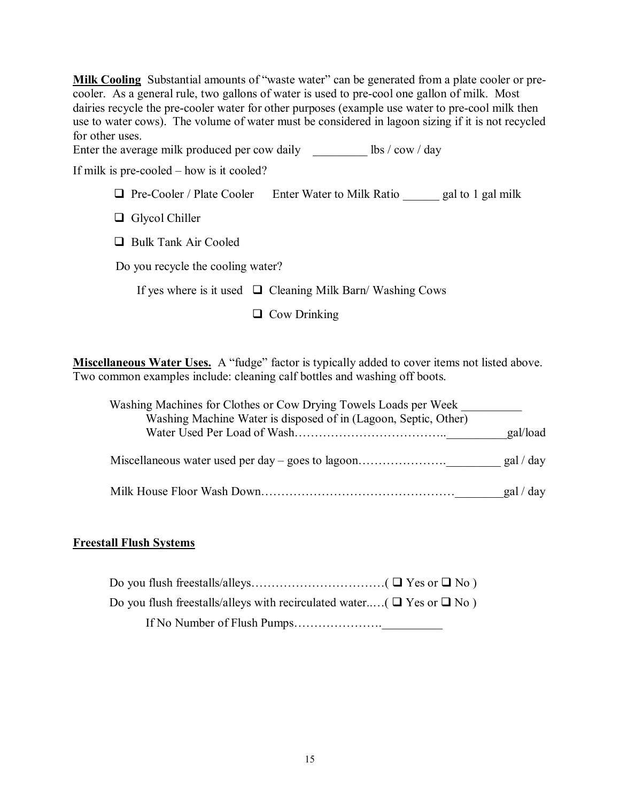**Milk Cooling** Substantial amounts of "waste water" can be generated from a plate cooler or precooler. As a general rule, two gallons of water is used to pre-cool one gallon of milk. Most dairies recycle the pre-cooler water for other purposes (example use water to pre-cool milk then use to water cows). The volume of water must be considered in lagoon sizing if it is not recycled for other uses.

Enter the average milk produced per cow daily \_\_\_\_\_\_\_\_\_\_ lbs / cow / day

If milk is pre-cooled – how is it cooled?

| $\Box$ Pre-Cooler / Plate Cooler | Enter Water to Milk Ratio | gal to 1 gal milk |
|----------------------------------|---------------------------|-------------------|
|----------------------------------|---------------------------|-------------------|

- Glycol Chiller
- **Bulk Tank Air Cooled**

Do you recycle the cooling water?

If yes where is it used  $\Box$  Cleaning Milk Barn/Washing Cows

 $\Box$  Cow Drinking

**Miscellaneous Water Uses.** A "fudge" factor is typically added to cover items not listed above. Two common examples include: cleaning calf bottles and washing off boots.

| Washing Machines for Clothes or Cow Drying Towels Loads per Week |           |
|------------------------------------------------------------------|-----------|
| Washing Machine Water is disposed of in (Lagoon, Septic, Other)  | gal/load  |
|                                                                  |           |
|                                                                  | gal / day |

### **Freestall Flush Systems**

| Do you flush freestalls/alleys with recirculated water ( $\Box$ Yes or $\Box$ No) |  |
|-----------------------------------------------------------------------------------|--|
|                                                                                   |  |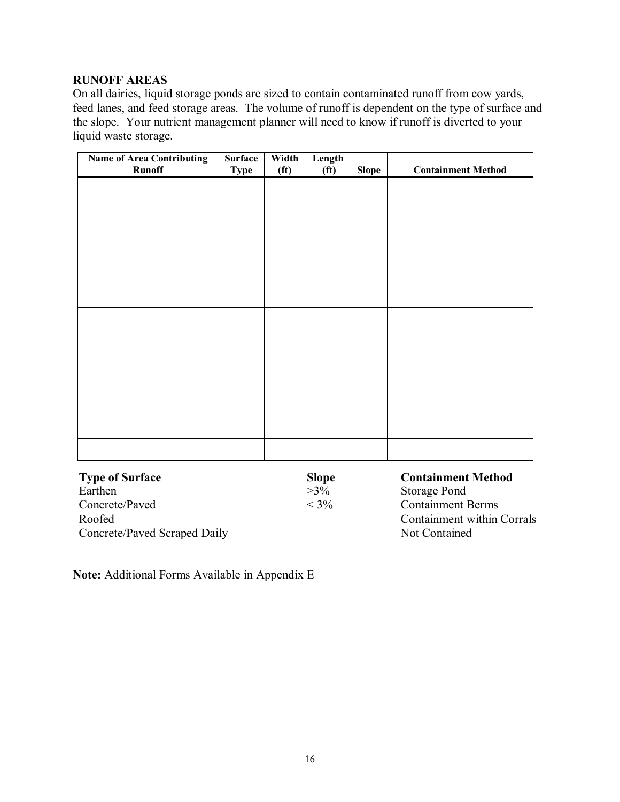### **RUNOFF AREAS**

On all dairies, liquid storage ponds are sized to contain contaminated runoff from cow yards, feed lanes, and feed storage areas. The volume of runoff is dependent on the type of surface and the slope. Your nutrient management planner will need to know if runoff is diverted to your liquid waste storage.

| <b>Name of Area Contributing</b><br><b>Runoff</b> | Surface<br><b>Type</b> | Width<br>(f <sub>t</sub> ) | Length<br>(f <sub>t</sub> ) | <b>Slope</b> | <b>Containment Method</b> |
|---------------------------------------------------|------------------------|----------------------------|-----------------------------|--------------|---------------------------|
|                                                   |                        |                            |                             |              |                           |
|                                                   |                        |                            |                             |              |                           |
|                                                   |                        |                            |                             |              |                           |
|                                                   |                        |                            |                             |              |                           |
|                                                   |                        |                            |                             |              |                           |
|                                                   |                        |                            |                             |              |                           |
|                                                   |                        |                            |                             |              |                           |
|                                                   |                        |                            |                             |              |                           |
|                                                   |                        |                            |                             |              |                           |
|                                                   |                        |                            |                             |              |                           |
|                                                   |                        |                            |                             |              |                           |
|                                                   |                        |                            |                             |              |                           |
|                                                   |                        |                            |                             |              |                           |

| <b>Type of Surface</b>       | <b>Slope</b> | <b>Containment Method</b>  |
|------------------------------|--------------|----------------------------|
| Earthen                      | $>3\%$       | Storage Pond               |
| Concrete/Paved               | $<$ 3%       | <b>Containment Berms</b>   |
| Roofed                       |              | Containment within Corrals |
| Concrete/Paved Scraped Daily |              | Not Contained              |

**Note:** Additional Forms Available in Appendix E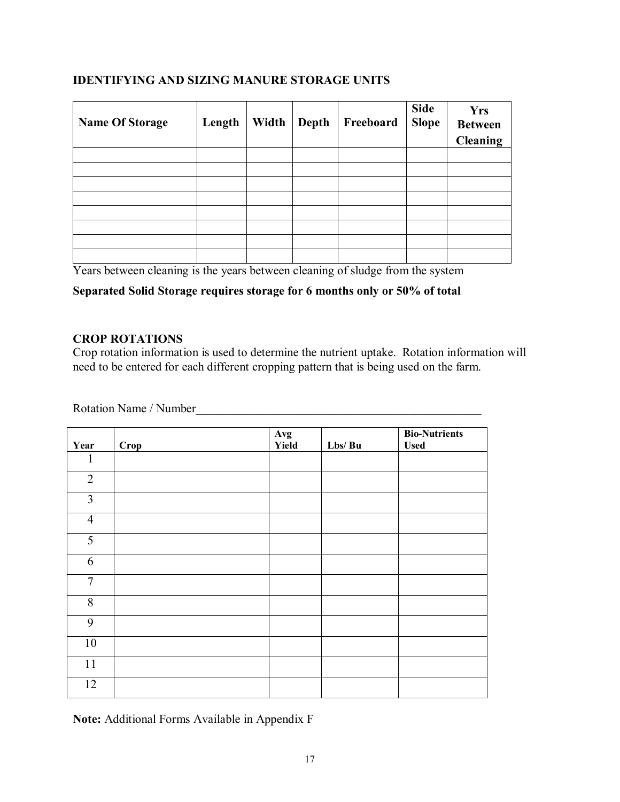### **IDENTIFYING AND SIZING MANURE STORAGE UNITS**

| <b>Name Of Storage</b> | Length | Width | Depth | Freeboard | <b>Side</b><br><b>Slope</b> | <b>Yrs</b><br><b>Between</b><br><b>Cleaning</b> |
|------------------------|--------|-------|-------|-----------|-----------------------------|-------------------------------------------------|
|                        |        |       |       |           |                             |                                                 |
|                        |        |       |       |           |                             |                                                 |
|                        |        |       |       |           |                             |                                                 |
|                        |        |       |       |           |                             |                                                 |
|                        |        |       |       |           |                             |                                                 |
|                        |        |       |       |           |                             |                                                 |
|                        |        |       |       |           |                             |                                                 |
|                        |        |       |       |           |                             |                                                 |

Years between cleaning is the years between cleaning of sludge from the system

### **Separated Solid Storage requires storage for 6 months only or 50% of total**

#### **CROP ROTATIONS**

Crop rotation information is used to determine the nutrient uptake. Rotation information will need to be entered for each different cropping pattern that is being used on the farm.

| Year           | $C_{rop}$ | Avg<br>Yield | Lbs/ Bu | <b>Bio-Nutrients</b><br><b>Used</b> |
|----------------|-----------|--------------|---------|-------------------------------------|
| $\mathbf{1}$   |           |              |         |                                     |
| $\overline{2}$ |           |              |         |                                     |
| $\overline{3}$ |           |              |         |                                     |
| $\overline{4}$ |           |              |         |                                     |
| 5              |           |              |         |                                     |
| 6              |           |              |         |                                     |
| $\overline{7}$ |           |              |         |                                     |
| 8              |           |              |         |                                     |
| 9              |           |              |         |                                     |
| $10\,$         |           |              |         |                                     |
| 11             |           |              |         |                                     |
| 12             |           |              |         |                                     |

Rotation Name / Number

**Note:** Additional Forms Available in Appendix F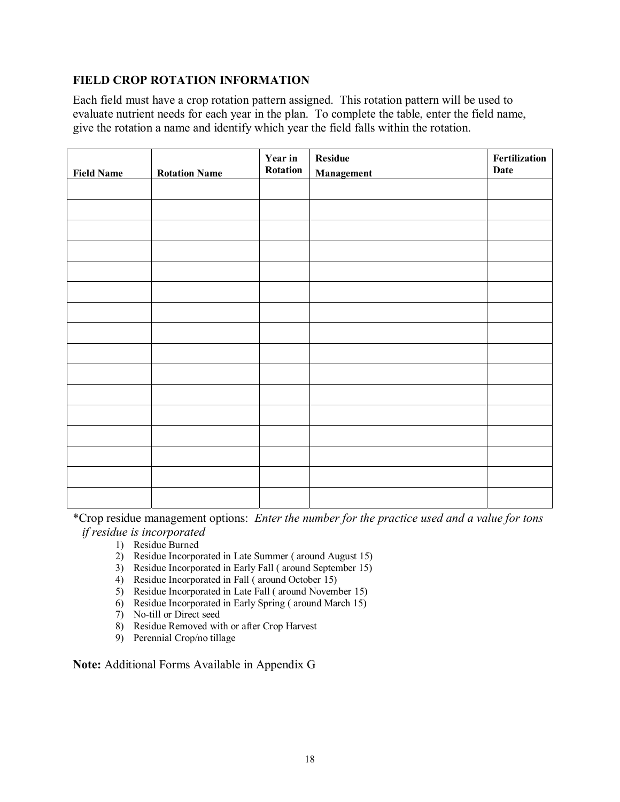### **FIELD CROP ROTATION INFORMATION**

Each field must have a crop rotation pattern assigned. This rotation pattern will be used to evaluate nutrient needs for each year in the plan. To complete the table, enter the field name, give the rotation a name and identify which year the field falls within the rotation.

| <b>Field Name</b> | <b>Rotation Name</b> | Year in<br>Rotation | <b>Residue</b><br><b>Management</b> | Fertilization<br><b>Date</b> |
|-------------------|----------------------|---------------------|-------------------------------------|------------------------------|
|                   |                      |                     |                                     |                              |
|                   |                      |                     |                                     |                              |
|                   |                      |                     |                                     |                              |
|                   |                      |                     |                                     |                              |
|                   |                      |                     |                                     |                              |
|                   |                      |                     |                                     |                              |
|                   |                      |                     |                                     |                              |
|                   |                      |                     |                                     |                              |
|                   |                      |                     |                                     |                              |
|                   |                      |                     |                                     |                              |
|                   |                      |                     |                                     |                              |
|                   |                      |                     |                                     |                              |
|                   |                      |                     |                                     |                              |
|                   |                      |                     |                                     |                              |
|                   |                      |                     |                                     |                              |
|                   |                      |                     |                                     |                              |

\*Crop residue management options: *Enter the number for the practice used and a value for tons if residue is incorporated* 

- 1) Residue Burned
- 2) Residue Incorporated in Late Summer ( around August 15)
- 3) Residue Incorporated in Early Fall ( around September 15)
- 4) Residue Incorporated in Fall ( around October 15)
- 5) Residue Incorporated in Late Fall ( around November 15)
- 6) Residue Incorporated in Early Spring ( around March 15)
- 7) No-till or Direct seed
- 8) Residue Removed with or after Crop Harvest
- 9) Perennial Crop/no tillage

**Note:** Additional Forms Available in Appendix G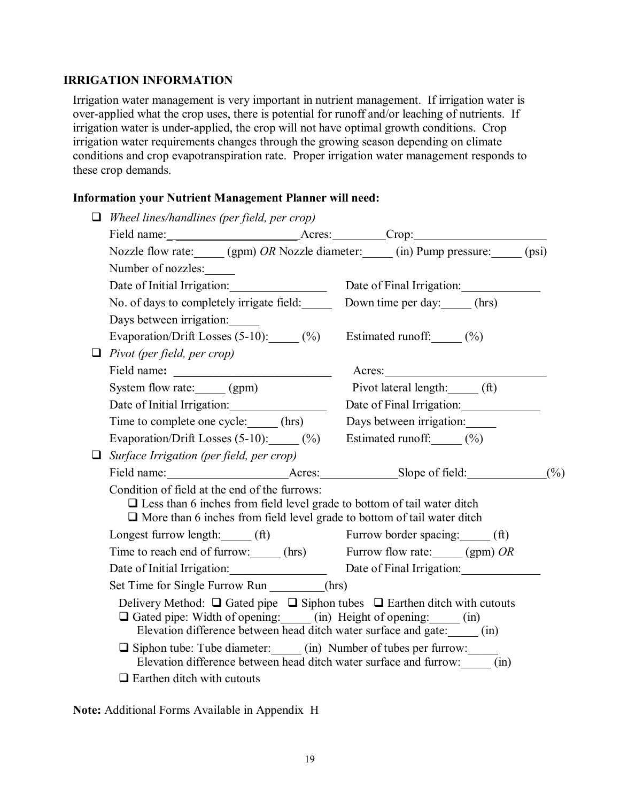### **IRRIGATION INFORMATION**

Irrigation water management is very important in nutrient management. If irrigation water is over-applied what the crop uses, there is potential for runoff and/or leaching of nutrients. If irrigation water is under-applied, the crop will not have optimal growth conditions. Crop irrigation water requirements changes through the growing season depending on climate conditions and crop evapotranspiration rate. Proper irrigation water management responds to these crop demands.

### **Information your Nutrient Management Planner will need:**

|   | $\Box$ Wheel lines/handlines (per field, per crop)                                                                                                                                                                                                                                                             |                            |  |  |  |  |  |  |  |
|---|----------------------------------------------------------------------------------------------------------------------------------------------------------------------------------------------------------------------------------------------------------------------------------------------------------------|----------------------------|--|--|--|--|--|--|--|
|   |                                                                                                                                                                                                                                                                                                                |                            |  |  |  |  |  |  |  |
|   | Nozzle flow rate: (gpm) OR Nozzle diameter: (in) Pump pressure: (psi)                                                                                                                                                                                                                                          |                            |  |  |  |  |  |  |  |
|   | Number of nozzles:                                                                                                                                                                                                                                                                                             |                            |  |  |  |  |  |  |  |
|   | Date of Initial Irrigation:                                                                                                                                                                                                                                                                                    | Date of Final Irrigation:  |  |  |  |  |  |  |  |
|   | No. of days to completely irrigate field:                                                                                                                                                                                                                                                                      | Down time per day: (hrs)   |  |  |  |  |  |  |  |
|   | Days between irrigation:                                                                                                                                                                                                                                                                                       |                            |  |  |  |  |  |  |  |
|   | Evaporation/Drift Losses (5-10): (%) Estimated runoff: (%)                                                                                                                                                                                                                                                     |                            |  |  |  |  |  |  |  |
|   | $\Box$ Pivot (per field, per crop)                                                                                                                                                                                                                                                                             |                            |  |  |  |  |  |  |  |
|   |                                                                                                                                                                                                                                                                                                                |                            |  |  |  |  |  |  |  |
|   | System flow rate: (gpm)                                                                                                                                                                                                                                                                                        | Pivot lateral length: (ft) |  |  |  |  |  |  |  |
|   | Date of Initial Irrigation:                                                                                                                                                                                                                                                                                    | Date of Final Irrigation:  |  |  |  |  |  |  |  |
|   | Time to complete one cycle: (hrs)                                                                                                                                                                                                                                                                              | Days between irrigation:   |  |  |  |  |  |  |  |
|   | Evaporation/Drift Losses $(5-10)$ : $(%)$ Estimated runoff: $(%)$                                                                                                                                                                                                                                              |                            |  |  |  |  |  |  |  |
| ப | Surface Irrigation (per field, per crop)                                                                                                                                                                                                                                                                       |                            |  |  |  |  |  |  |  |
|   |                                                                                                                                                                                                                                                                                                                |                            |  |  |  |  |  |  |  |
|   | Condition of field at the end of the furrows:<br>$\Box$ Less than 6 inches from field level grade to bottom of tail water ditch<br>$\Box$ More than 6 inches from field level grade to bottom of tail water ditch                                                                                              |                            |  |  |  |  |  |  |  |
|   | Longest furrow length: (ft) Furrow border spacing: (ft)                                                                                                                                                                                                                                                        |                            |  |  |  |  |  |  |  |
|   | Time to reach end of furrow: (hrs) Furrow flow rate: (gpm) OR                                                                                                                                                                                                                                                  |                            |  |  |  |  |  |  |  |
|   | Date of Initial Irrigation: Date of Final Irrigation: Date of Final Irrigation:                                                                                                                                                                                                                                |                            |  |  |  |  |  |  |  |
|   | Set Time for Single Furrow Run (hrs)                                                                                                                                                                                                                                                                           |                            |  |  |  |  |  |  |  |
|   | Delivery Method: $\Box$ Gated pipe $\Box$ Siphon tubes $\Box$ Earthen ditch with cutouts<br>$\Box$ Gated pipe: Width of opening: (in) Height of opening: (in)<br>Elevation difference between head ditch water surface and gate: (in)<br>□ Siphon tube: Tube diameter: (in) Number of tubes per furrow: ______ |                            |  |  |  |  |  |  |  |
|   | Elevation difference between head ditch water surface and furrow: (in)                                                                                                                                                                                                                                         |                            |  |  |  |  |  |  |  |
|   | $\Box$ Earthen ditch with cutouts                                                                                                                                                                                                                                                                              |                            |  |  |  |  |  |  |  |

**Note:** Additional Forms Available in Appendix H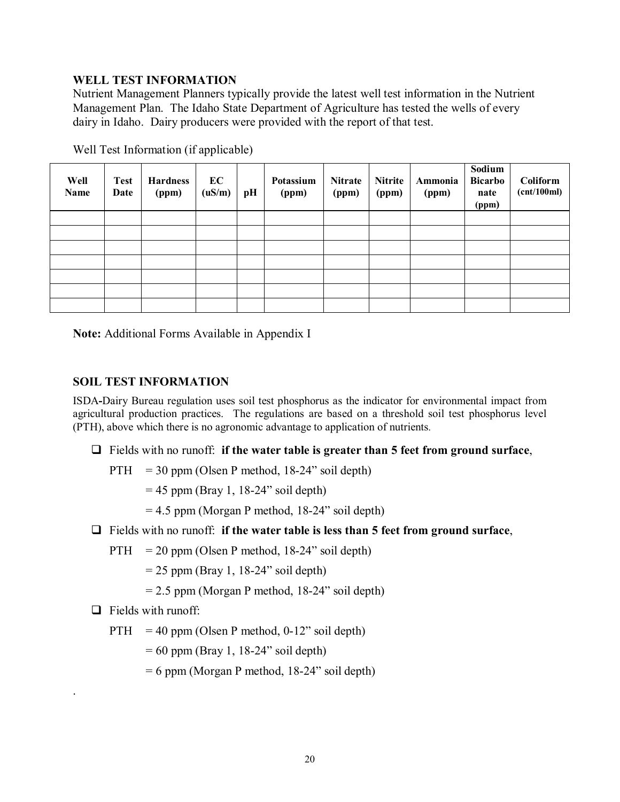### **WELL TEST INFORMATION**

Nutrient Management Planners typically provide the latest well test information in the Nutrient Management Plan. The Idaho State Department of Agriculture has tested the wells of every dairy in Idaho. Dairy producers were provided with the report of that test.

| Well<br>Name | <b>Test</b><br>Date | <b>Hardness</b><br>(ppm) | EC<br>(uS/m) | pH | Potassium<br>(ppm) | <b>Nitrate</b><br>(ppm) | <b>Nitrite</b><br>(ppm) | Ammonia<br>(ppm) | Sodium<br><b>Bicarbo</b><br>nate<br>(ppm) | Coliform<br>$(\text{cnt}/100ml)$ |
|--------------|---------------------|--------------------------|--------------|----|--------------------|-------------------------|-------------------------|------------------|-------------------------------------------|----------------------------------|
|              |                     |                          |              |    |                    |                         |                         |                  |                                           |                                  |
|              |                     |                          |              |    |                    |                         |                         |                  |                                           |                                  |
|              |                     |                          |              |    |                    |                         |                         |                  |                                           |                                  |
|              |                     |                          |              |    |                    |                         |                         |                  |                                           |                                  |
|              |                     |                          |              |    |                    |                         |                         |                  |                                           |                                  |
|              |                     |                          |              |    |                    |                         |                         |                  |                                           |                                  |
|              |                     |                          |              |    |                    |                         |                         |                  |                                           |                                  |

Well Test Information (if applicable)

**Note:** Additional Forms Available in Appendix I

### **SOIL TEST INFORMATION**

ISDA**-**Dairy Bureau regulation uses soil test phosphorus as the indicator for environmental impact from agricultural production practices. The regulations are based on a threshold soil test phosphorus level (PTH), above which there is no agronomic advantage to application of nutrients.

Fields with no runoff: **if the water table is greater than 5 feet from ground surface**,

 $PTH = 30$  ppm (Olsen P method, 18-24" soil depth)

 $= 45$  ppm (Bray 1, 18-24" soil depth)

- $= 4.5$  ppm (Morgan P method, 18-24" soil depth)
- Fields with no runoff: **if the water table is less than 5 feet from ground surface**,
	- $PTH = 20$  ppm (Olsen P method, 18-24" soil depth)
		- $= 25$  ppm (Bray 1, 18-24" soil depth)
		- $= 2.5$  ppm (Morgan P method, 18-24" soil depth)
- $\Box$  Fields with runoff:

.

 $PTH = 40$  ppm (Olsen P method, 0-12" soil depth)

 $= 60$  ppm (Bray 1, 18-24" soil depth)

 $= 6$  ppm (Morgan P method, 18-24" soil depth)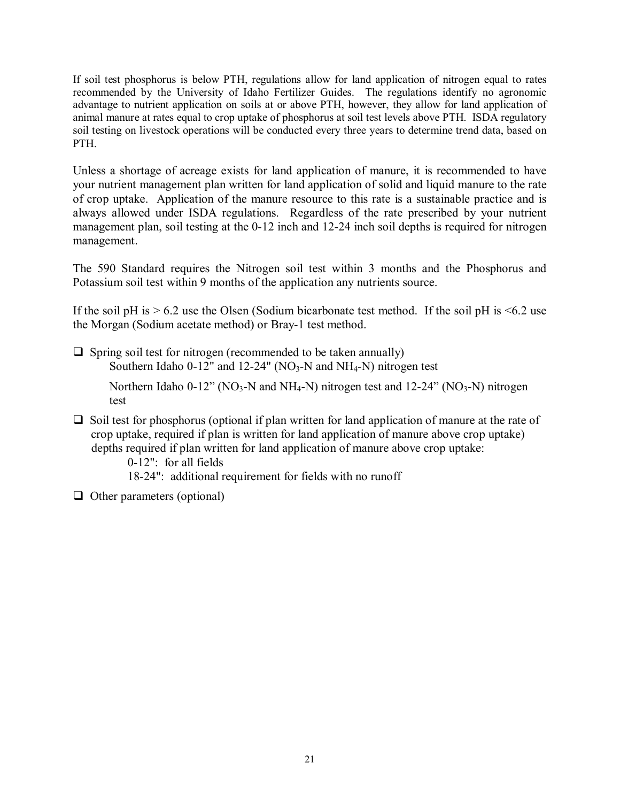If soil test phosphorus is below PTH, regulations allow for land application of nitrogen equal to rates recommended by the University of Idaho Fertilizer Guides. The regulations identify no agronomic advantage to nutrient application on soils at or above PTH, however, they allow for land application of animal manure at rates equal to crop uptake of phosphorus at soil test levels above PTH. ISDA regulatory soil testing on livestock operations will be conducted every three years to determine trend data, based on PTH.

Unless a shortage of acreage exists for land application of manure, it is recommended to have your nutrient management plan written for land application of solid and liquid manure to the rate of crop uptake. Application of the manure resource to this rate is a sustainable practice and is always allowed under ISDA regulations. Regardless of the rate prescribed by your nutrient management plan, soil testing at the 0-12 inch and 12-24 inch soil depths is required for nitrogen management.

The 590 Standard requires the Nitrogen soil test within 3 months and the Phosphorus and Potassium soil test within 9 months of the application any nutrients source.

If the soil pH is  $> 6.2$  use the Olsen (Sodium bicarbonate test method. If the soil pH is  $\leq 6.2$  use the Morgan (Sodium acetate method) or Bray-1 test method.

 $\Box$  Spring soil test for nitrogen (recommended to be taken annually) Southern Idaho  $0-12$ " and  $12-24$ " (NO<sub>3</sub>-N and NH<sub>4</sub>-N) nitrogen test Northern Idaho  $0-12$ " (NO<sub>3</sub>-N and NH<sub>4</sub>-N) nitrogen test and  $12-24$ " (NO<sub>3</sub>-N) nitrogen

test

 $\Box$  Soil test for phosphorus (optional if plan written for land application of manure at the rate of crop uptake, required if plan is written for land application of manure above crop uptake) depths required if plan written for land application of manure above crop uptake:

0-12": for all fields 18-24": additional requirement for fields with no runoff

 $\Box$  Other parameters (optional)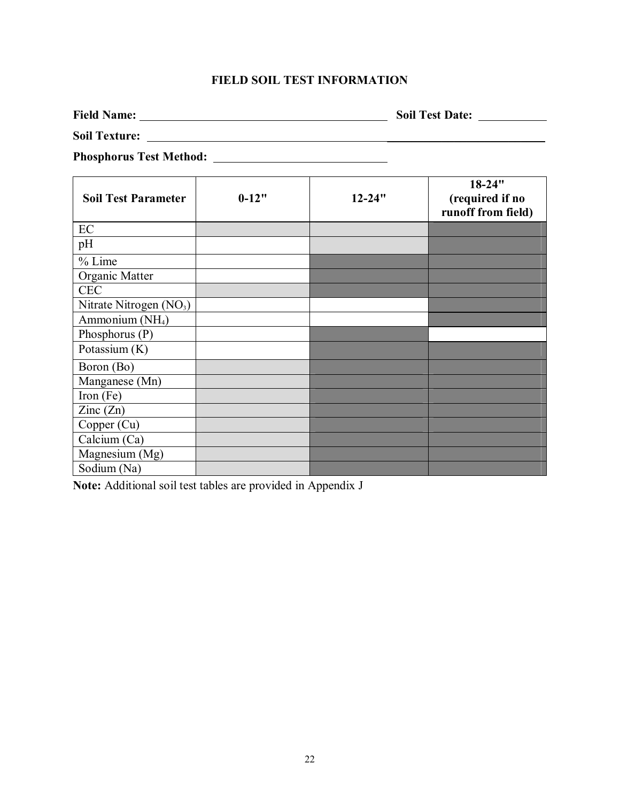# **FIELD SOIL TEST INFORMATION**

**Field Name: Soil Test Date:** 

**Soil Texture:** \_\_\_\_\_\_\_\_\_\_\_\_\_\_\_\_\_\_\_\_\_\_\_\_\_\_

**Phosphorus Test Method:** 

| <b>Soil Test Parameter</b>  | $0 - 12"$ | $12 - 24"$ | $18 - 24"$<br>(required if no<br>runoff from field) |
|-----------------------------|-----------|------------|-----------------------------------------------------|
| EC                          |           |            |                                                     |
| pH                          |           |            |                                                     |
| % Lime                      |           |            |                                                     |
| Organic Matter              |           |            |                                                     |
| <b>CEC</b>                  |           |            |                                                     |
| Nitrate Nitrogen $(NO3)$    |           |            |                                                     |
| Ammonium (NH <sub>4</sub> ) |           |            |                                                     |
| Phosphorus $(P)$            |           |            |                                                     |
| Potassium (K)               |           |            |                                                     |
| Boron (Bo)                  |           |            |                                                     |
| Manganese (Mn)              |           |            |                                                     |
| Iron $(Fe)$                 |           |            |                                                     |
| $\text{Zinc}(\text{Zn})$    |           |            |                                                     |
| Copper (Cu)                 |           |            |                                                     |
| Calcium (Ca)                |           |            |                                                     |
| Magnesium (Mg)              |           |            |                                                     |
| Sodium (Na)                 |           |            |                                                     |

**Note:** Additional soil test tables are provided in Appendix J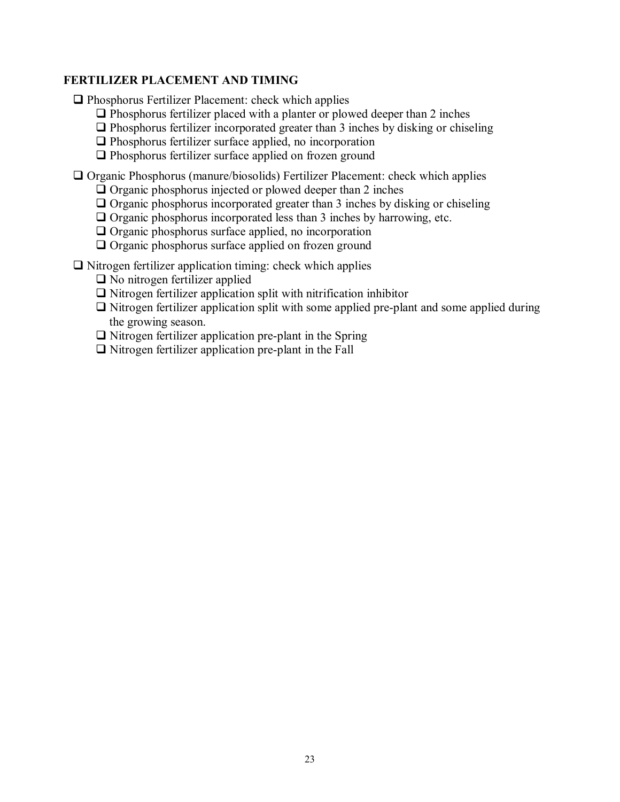### **FERTILIZER PLACEMENT AND TIMING**

 $\Box$  Phosphorus Fertilizer Placement: check which applies

- $\Box$  Phosphorus fertilizer placed with a planter or plowed deeper than 2 inches
- $\Box$  Phosphorus fertilizer incorporated greater than 3 inches by disking or chiseling
- $\Box$  Phosphorus fertilizer surface applied, no incorporation
- $\square$  Phosphorus fertilizer surface applied on frozen ground

 $\Box$  Organic Phosphorus (manure/biosolids) Fertilizer Placement: check which applies

- $\Box$  Organic phosphorus injected or plowed deeper than 2 inches
- $\Box$  Organic phosphorus incorporated greater than 3 inches by disking or chiseling
- $\Box$  Organic phosphorus incorporated less than 3 inches by harrowing, etc.
- $\Box$  Organic phosphorus surface applied, no incorporation
- $\Box$  Organic phosphorus surface applied on frozen ground
- $\Box$  Nitrogen fertilizer application timing: check which applies
	- $\Box$  No nitrogen fertilizer applied
	- $\Box$  Nitrogen fertilizer application split with nitrification inhibitor
	- $\Box$  Nitrogen fertilizer application split with some applied pre-plant and some applied during the growing season.
	- $\Box$  Nitrogen fertilizer application pre-plant in the Spring
	- $\Box$  Nitrogen fertilizer application pre-plant in the Fall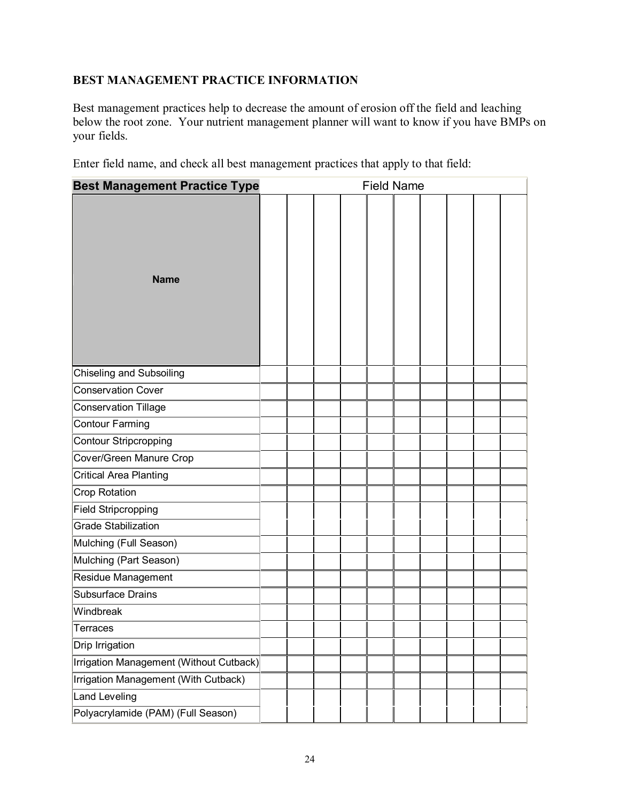# **BEST MANAGEMENT PRACTICE INFORMATION**

Best management practices help to decrease the amount of erosion off the field and leaching below the root zone. Your nutrient management planner will want to know if you have BMPs on your fields.

Enter field name, and check all best management practices that apply to that field:

| <b>Best Management Practice Type</b>    | <b>Field Name</b> |  |  |  |  |  |  |  |  |  |
|-----------------------------------------|-------------------|--|--|--|--|--|--|--|--|--|
| <b>Name</b>                             |                   |  |  |  |  |  |  |  |  |  |
| <b>Chiseling and Subsoiling</b>         |                   |  |  |  |  |  |  |  |  |  |
| Conservation Cover                      |                   |  |  |  |  |  |  |  |  |  |
| <b>Conservation Tillage</b>             |                   |  |  |  |  |  |  |  |  |  |
| <b>Contour Farming</b>                  |                   |  |  |  |  |  |  |  |  |  |
| Contour Stripcropping                   |                   |  |  |  |  |  |  |  |  |  |
| Cover/Green Manure Crop                 |                   |  |  |  |  |  |  |  |  |  |
| <b>Critical Area Planting</b>           |                   |  |  |  |  |  |  |  |  |  |
| <b>Crop Rotation</b>                    |                   |  |  |  |  |  |  |  |  |  |
| <b>Field Stripcropping</b>              |                   |  |  |  |  |  |  |  |  |  |
| <b>Grade Stabilization</b>              |                   |  |  |  |  |  |  |  |  |  |
| Mulching (Full Season)                  |                   |  |  |  |  |  |  |  |  |  |
| Mulching (Part Season)                  |                   |  |  |  |  |  |  |  |  |  |
| Residue Management                      |                   |  |  |  |  |  |  |  |  |  |
| Subsurface Drains                       |                   |  |  |  |  |  |  |  |  |  |
| Windbreak                               |                   |  |  |  |  |  |  |  |  |  |
| Terraces                                |                   |  |  |  |  |  |  |  |  |  |
| Drip Irrigation                         |                   |  |  |  |  |  |  |  |  |  |
| Irrigation Management (Without Cutback) |                   |  |  |  |  |  |  |  |  |  |
| Irrigation Management (With Cutback)    |                   |  |  |  |  |  |  |  |  |  |
| <b>Land Leveling</b>                    |                   |  |  |  |  |  |  |  |  |  |
| Polyacrylamide (PAM) (Full Season)      |                   |  |  |  |  |  |  |  |  |  |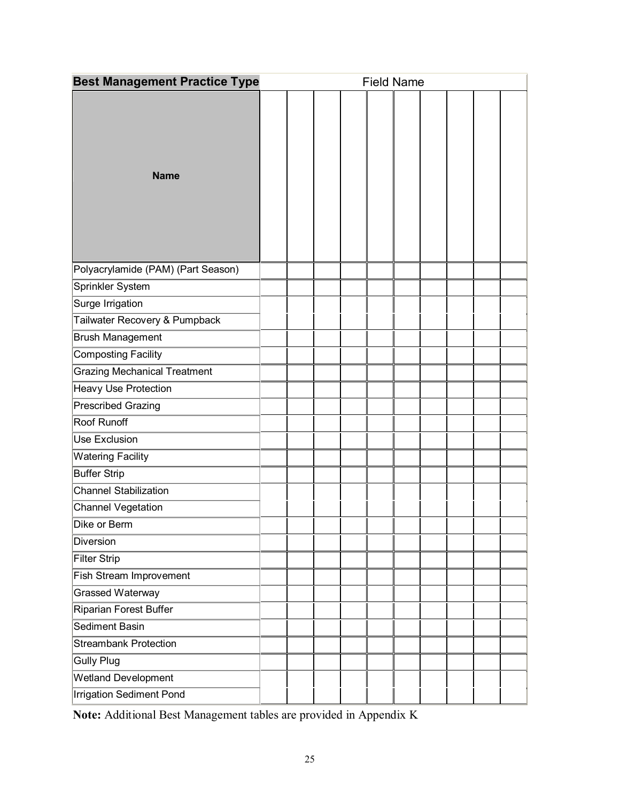| <b>Best Management Practice Type</b> |  |  | <b>Field Name</b> |  |  |
|--------------------------------------|--|--|-------------------|--|--|
| <b>Name</b>                          |  |  |                   |  |  |
| Polyacrylamide (PAM) (Part Season)   |  |  |                   |  |  |
| Sprinkler System                     |  |  |                   |  |  |
| Surge Irrigation                     |  |  |                   |  |  |
| Tailwater Recovery & Pumpback        |  |  |                   |  |  |
| <b>Brush Management</b>              |  |  |                   |  |  |
| <b>Composting Facility</b>           |  |  |                   |  |  |
| <b>Grazing Mechanical Treatment</b>  |  |  |                   |  |  |
| <b>Heavy Use Protection</b>          |  |  |                   |  |  |
| Prescribed Grazing                   |  |  |                   |  |  |
| Roof Runoff                          |  |  |                   |  |  |
| <b>Use Exclusion</b>                 |  |  |                   |  |  |
| <b>Watering Facility</b>             |  |  |                   |  |  |
| <b>Buffer Strip</b>                  |  |  |                   |  |  |
| <b>Channel Stabilization</b>         |  |  |                   |  |  |
| <b>Channel Vegetation</b>            |  |  |                   |  |  |
| Dike or Berm                         |  |  |                   |  |  |
| Diversion                            |  |  |                   |  |  |
| Filter Strip                         |  |  |                   |  |  |
| Fish Stream Improvement              |  |  |                   |  |  |
| Grassed Waterway                     |  |  |                   |  |  |
| <b>Riparian Forest Buffer</b>        |  |  |                   |  |  |
| Sediment Basin                       |  |  |                   |  |  |
| <b>Streambank Protection</b>         |  |  |                   |  |  |
| <b>Gully Plug</b>                    |  |  |                   |  |  |
| <b>Wetland Development</b>           |  |  |                   |  |  |
| <b>Irrigation Sediment Pond</b>      |  |  |                   |  |  |

**Note:** Additional Best Management tables are provided in Appendix K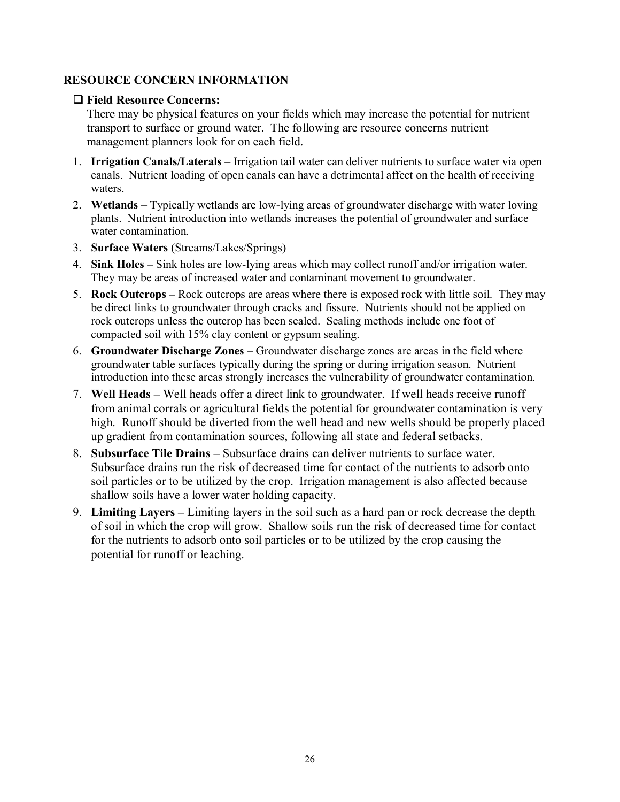### **RESOURCE CONCERN INFORMATION**

### **Field Resource Concerns:**

There may be physical features on your fields which may increase the potential for nutrient transport to surface or ground water. The following are resource concerns nutrient management planners look for on each field.

- 1. **Irrigation Canals/Laterals** Irrigation tail water can deliver nutrients to surface water via open canals. Nutrient loading of open canals can have a detrimental affect on the health of receiving waters.
- 2. **Wetlands –** Typically wetlands are low-lying areas of groundwater discharge with water loving plants. Nutrient introduction into wetlands increases the potential of groundwater and surface water contamination.
- 3. **Surface Waters** (Streams/Lakes/Springs)
- 4. **Sink Holes –** Sink holes are low-lying areas which may collect runoff and/or irrigation water. They may be areas of increased water and contaminant movement to groundwater.
- 5. **Rock Outcrops –** Rock outcrops are areas where there is exposed rock with little soil. They may be direct links to groundwater through cracks and fissure. Nutrients should not be applied on rock outcrops unless the outcrop has been sealed. Sealing methods include one foot of compacted soil with 15% clay content or gypsum sealing.
- 6. **Groundwater Discharge Zones –** Groundwater discharge zones are areas in the field where groundwater table surfaces typically during the spring or during irrigation season. Nutrient introduction into these areas strongly increases the vulnerability of groundwater contamination.
- 7. **Well Heads** Well heads offer a direct link to groundwater. If well heads receive runoff from animal corrals or agricultural fields the potential for groundwater contamination is very high. Runoff should be diverted from the well head and new wells should be properly placed up gradient from contamination sources, following all state and federal setbacks.
- 8. **Subsurface Tile Drains –** Subsurface drains can deliver nutrients to surface water. Subsurface drains run the risk of decreased time for contact of the nutrients to adsorb onto soil particles or to be utilized by the crop. Irrigation management is also affected because shallow soils have a lower water holding capacity.
- 9. **Limiting Layers** Limiting layers in the soil such as a hard pan or rock decrease the depth of soil in which the crop will grow. Shallow soils run the risk of decreased time for contact for the nutrients to adsorb onto soil particles or to be utilized by the crop causing the potential for runoff or leaching.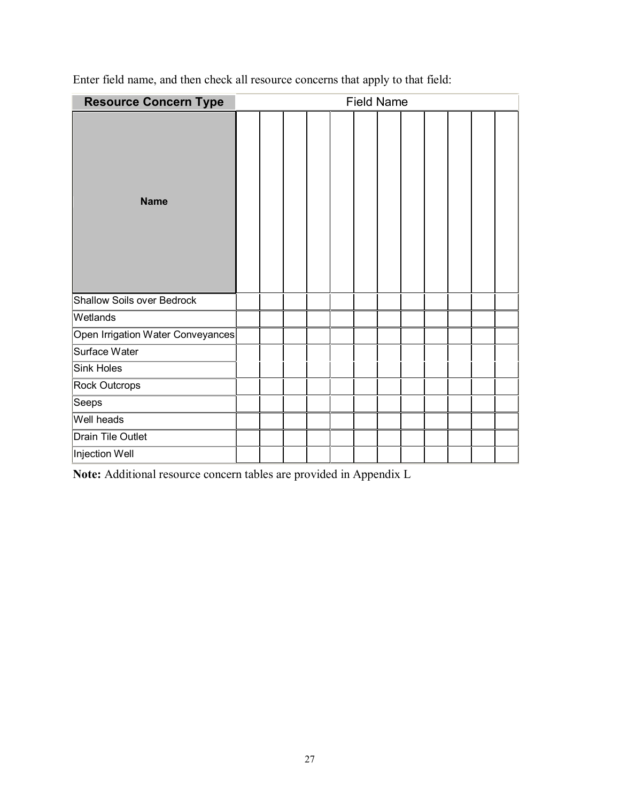Enter field name, and then check all resource concerns that apply to that field:

| <b>Resource Concern Type</b>      |  |  |  | <b>Field Name</b> |  |  |  |
|-----------------------------------|--|--|--|-------------------|--|--|--|
| <b>Name</b>                       |  |  |  |                   |  |  |  |
| Shallow Soils over Bedrock        |  |  |  |                   |  |  |  |
| Wetlands                          |  |  |  |                   |  |  |  |
| Open Irrigation Water Conveyances |  |  |  |                   |  |  |  |
| Surface Water                     |  |  |  |                   |  |  |  |
| <b>Sink Holes</b>                 |  |  |  |                   |  |  |  |
| Rock Outcrops                     |  |  |  |                   |  |  |  |
| Seeps                             |  |  |  |                   |  |  |  |
| Well heads                        |  |  |  |                   |  |  |  |
| Drain Tile Outlet                 |  |  |  |                   |  |  |  |
| Injection Well                    |  |  |  |                   |  |  |  |

**Note:** Additional resource concern tables are provided in Appendix L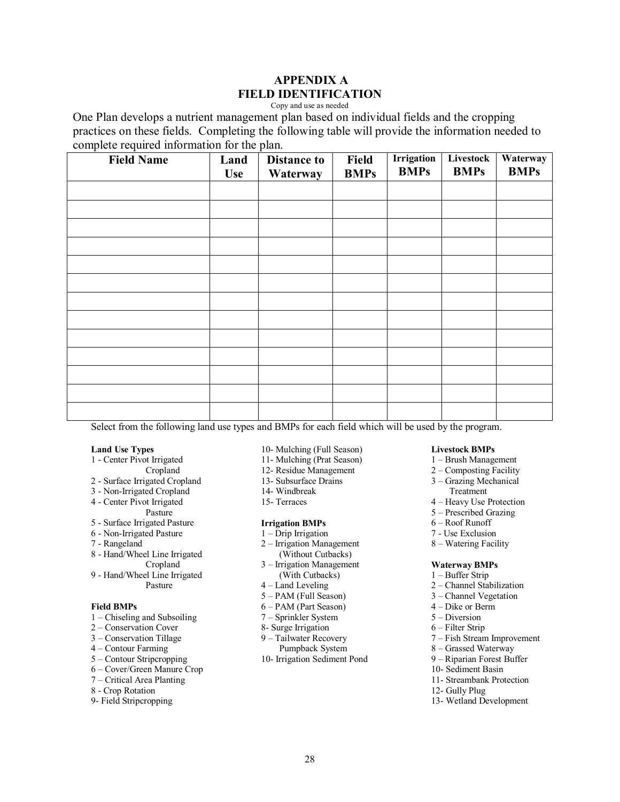#### **APPENDIX A FIELD IDENTIFICATION**

Copy and use as needed

One Plan develops a nutrient management plan based on individual fields and the cropping practices on these fields. Completing the following table will provide the information needed to complete required information for the plan.

| <b>Field Name</b> | Land<br><b>Use</b> | <b>Distance to</b><br>Waterway | <b>Field</b><br><b>BMPs</b> | <b>Irrigation</b><br><b>BMPs</b> |  | Waterway<br><b>BMPs</b> |  |
|-------------------|--------------------|--------------------------------|-----------------------------|----------------------------------|--|-------------------------|--|
|                   |                    |                                |                             |                                  |  |                         |  |
|                   |                    |                                |                             |                                  |  |                         |  |
|                   |                    |                                |                             |                                  |  |                         |  |
|                   |                    |                                |                             |                                  |  |                         |  |
|                   |                    |                                |                             |                                  |  |                         |  |
|                   |                    |                                |                             |                                  |  |                         |  |
|                   |                    |                                |                             |                                  |  |                         |  |
|                   |                    |                                |                             |                                  |  |                         |  |
|                   |                    |                                |                             |                                  |  |                         |  |
|                   |                    |                                |                             |                                  |  |                         |  |
|                   |                    |                                |                             |                                  |  |                         |  |
|                   |                    |                                |                             |                                  |  |                         |  |
|                   |                    |                                |                             |                                  |  |                         |  |

Select from the following land use types and BMPs for each field which will be used by the program.

#### **Land Use Types**

- 1 Center Pivot Irrigated
- Cropland
- 2 Surface Irrigated Cropland
- 3 Non-Irrigated Cropland 4 - Center Pivot Irrigated
- Pasture
- 5 Surface Irrigated Pasture
- 6 Non-Irrigated Pasture
- 7 Rangeland
- 8 Hand/Wheel Line Irrigated Cropland
- 9 Hand/Wheel Line Irrigated Pasture

#### **Field BMPs**

- 1 Chiseling and Subsoiling
- 2 Conservation Cover
- 3 Conservation Tillage
- 4 Contour Farming 5 – Contour Stripcropping
- 6 Cover/Green Manure Crop
- 7 Critical Area Planting
- 8 Crop Rotation
- 9- Field Stripcropping
- 10- Mulching (Full Season)
- 11- Mulching (Prat Season)
- 12- Residue Management
- 13- Subsurface Drains
- 14- Windbreak
- 15- Terraces

#### **Irrigation BMPs**

- 1 Drip Irrigation
- 2 Irrigation Management (Without Cutbacks)
- 3 Irrigation Management (With Cutbacks)
- 4 Land Leveling
- 5 PAM (Full Season)
- 6 PAM (Part Season)
- 7 Sprinkler System
- 8- Surge Irrigation
- 9 Tailwater Recovery
- Pumpback System
- 10- Irrigation Sediment Pond

#### **Livestock BMPs**

- 1 Brush Management
- 2 Composting Facility
- 3 Grazing Mechanical
- Treatment
- 4 Heavy Use Protection
- 5 Prescribed Grazing
- 6 Roof Runoff
- 7 Use Exclusion
- 8 Watering Facility

#### **Waterway BMPs**

- 1 Buffer Strip
- 2 Channel Stabilization
- 3 Channel Vegetation
- 4 Dike or Berm
- 5 Diversion
- 6 Filter Strip
- 7 Fish Stream Improvement
- 8 Grassed Waterway
- 9 Riparian Forest Buffer
- 10- Sediment Basin
- 11- Streambank Protection
- 12- Gully Plug
- 13- Wetland Development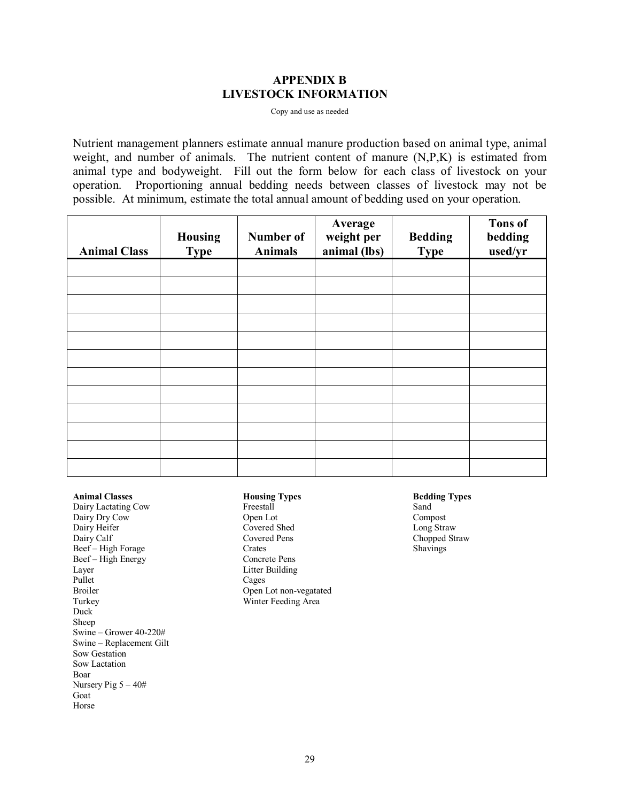#### **APPENDIX B LIVESTOCK INFORMATION**

Copy and use as needed

Nutrient management planners estimate annual manure production based on animal type, animal weight, and number of animals. The nutrient content of manure (N,P,K) is estimated from animal type and bodyweight. Fill out the form below for each class of livestock on your operation. Proportioning annual bedding needs between classes of livestock may not be possible. At minimum, estimate the total annual amount of bedding used on your operation.

| <b>Animal Class</b> | <b>Housing</b><br><b>Type</b> | <b>Number of</b><br><b>Animals</b> | Average<br>weight per<br>animal (lbs) | <b>Bedding</b><br><b>Type</b> | <b>Tons of</b><br>bedding<br>used/yr |
|---------------------|-------------------------------|------------------------------------|---------------------------------------|-------------------------------|--------------------------------------|
|                     |                               |                                    |                                       |                               |                                      |
|                     |                               |                                    |                                       |                               |                                      |
|                     |                               |                                    |                                       |                               |                                      |
|                     |                               |                                    |                                       |                               |                                      |
|                     |                               |                                    |                                       |                               |                                      |
|                     |                               |                                    |                                       |                               |                                      |
|                     |                               |                                    |                                       |                               |                                      |
|                     |                               |                                    |                                       |                               |                                      |
|                     |                               |                                    |                                       |                               |                                      |
|                     |                               |                                    |                                       |                               |                                      |
|                     |                               |                                    |                                       |                               |                                      |
|                     |                               |                                    |                                       |                               |                                      |

#### **Animal Classes**

Dairy Lactating Cow Dairy Dry Cow Dairy Heifer Dairy Calf Beef – High Forage Beef – High Energy Layer Pullet Broiler Turkey Duck Sheep Swine – Grower 40-220# Swine – Replacement Gilt Sow Gestation Sow Lactation Boar Nursery Pig  $5 - 40#$ Goat Horse

#### **Housing Types**

Freestall Open Lot Covered Shed Covered Pens **Crates** Concrete Pens Litter Building Cages Open Lot non-vegatated Winter Feeding Area

#### **Bedding Types**  Sand

Compost Long Straw Chopped Straw Shavings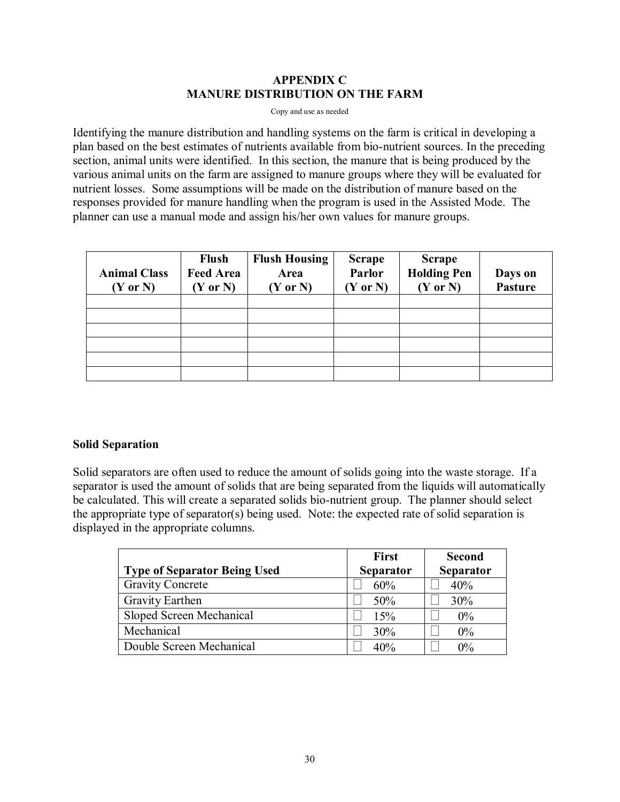### **APPENDIX C MANURE DISTRIBUTION ON THE FARM**

Copy and use as needed

Identifying the manure distribution and handling systems on the farm is critical in developing a plan based on the best estimates of nutrients available from bio-nutrient sources. In the preceding section, animal units were identified. In this section, the manure that is being produced by the various animal units on the farm are assigned to manure groups where they will be evaluated for nutrient losses. Some assumptions will be made on the distribution of manure based on the responses provided for manure handling when the program is used in the Assisted Mode. The planner can use a manual mode and assign his/her own values for manure groups.

| <b>Animal Class</b><br>$(Y \text{ or } N)$ | <b>Flush</b><br><b>Feed Area</b><br>$(Y$ or $N)$ | <b>Flush Housing</b><br>Area<br>$(Y$ or $N)$ | <b>Scrape</b><br>Parlor<br>$(Y$ or $N)$ | <b>Scrape</b><br><b>Holding Pen</b><br>$(Y \text{ or } N)$ | Days on<br><b>Pasture</b> |
|--------------------------------------------|--------------------------------------------------|----------------------------------------------|-----------------------------------------|------------------------------------------------------------|---------------------------|
|                                            |                                                  |                                              |                                         |                                                            |                           |
|                                            |                                                  |                                              |                                         |                                                            |                           |
|                                            |                                                  |                                              |                                         |                                                            |                           |
|                                            |                                                  |                                              |                                         |                                                            |                           |
|                                            |                                                  |                                              |                                         |                                                            |                           |
|                                            |                                                  |                                              |                                         |                                                            |                           |

#### **Solid Separation**

Solid separators are often used to reduce the amount of solids going into the waste storage. If a separator is used the amount of solids that are being separated from the liquids will automatically be calculated. This will create a separated solids bio-nutrient group. The planner should select the appropriate type of separator(s) being used. Note: the expected rate of solid separation is displayed in the appropriate columns.

|                                     | <b>First</b> | Second           |
|-------------------------------------|--------------|------------------|
| <b>Type of Separator Being Used</b> | Separator    | <b>Separator</b> |
| <b>Gravity Concrete</b>             | 60%          | 40%              |
| <b>Gravity Earthen</b>              | 50%          | 30%              |
| Sloped Screen Mechanical            | 15%          | $0\%$            |
| Mechanical                          | 30%          | $0\%$            |
| Double Screen Mechanical            | 40%          | $0\%$            |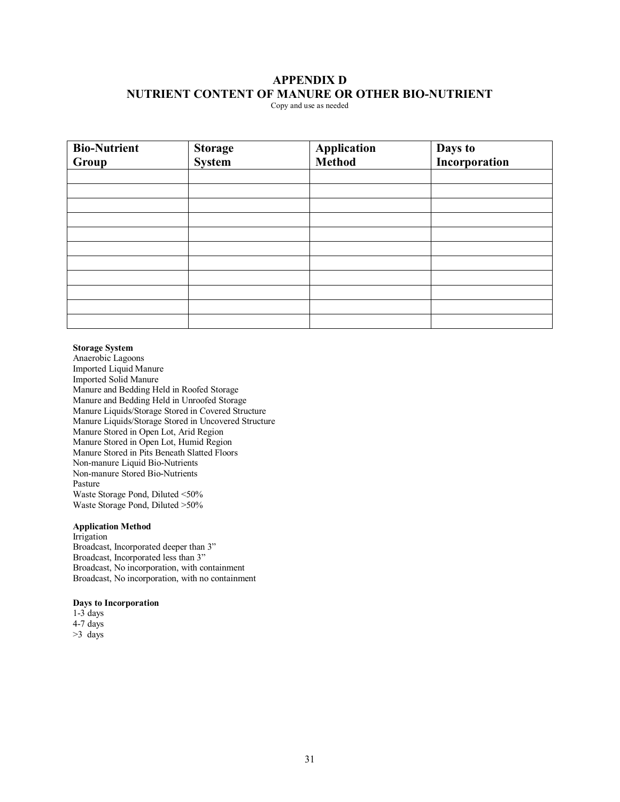#### **APPENDIX D NUTRIENT CONTENT OF MANURE OR OTHER BIO-NUTRIENT**

Copy and use as needed

| <b>Bio-Nutrient</b><br>Group | Storage<br>System | Application<br><b>Method</b> | <b>Days to<br/>Incorporation</b> |
|------------------------------|-------------------|------------------------------|----------------------------------|
|                              |                   |                              |                                  |
|                              |                   |                              |                                  |
|                              |                   |                              |                                  |
|                              |                   |                              |                                  |
|                              |                   |                              |                                  |
|                              |                   |                              |                                  |
|                              |                   |                              |                                  |
|                              |                   |                              |                                  |
|                              |                   |                              |                                  |

#### **Storage System**

Anaerobic Lagoons Imported Liquid Manure Imported Solid Manure Manure and Bedding Held in Roofed Storage Manure and Bedding Held in Unroofed Storage Manure Liquids/Storage Stored in Covered Structure Manure Liquids/Storage Stored in Uncovered Structure Manure Stored in Open Lot, Arid Region Manure Stored in Open Lot, Humid Region Manure Stored in Pits Beneath Slatted Floors Non-manure Liquid Bio-Nutrients Non-manure Stored Bio-Nutrients Pasture Waste Storage Pond, Diluted <50% Waste Storage Pond, Diluted >50%

#### **Application Method**

Irrigation Broadcast, Incorporated deeper than 3" Broadcast, Incorporated less than 3" Broadcast, No incorporation, with containment Broadcast, No incorporation, with no containment

#### **Days to Incorporation**

1-3 days 4-7 days  $>3$  days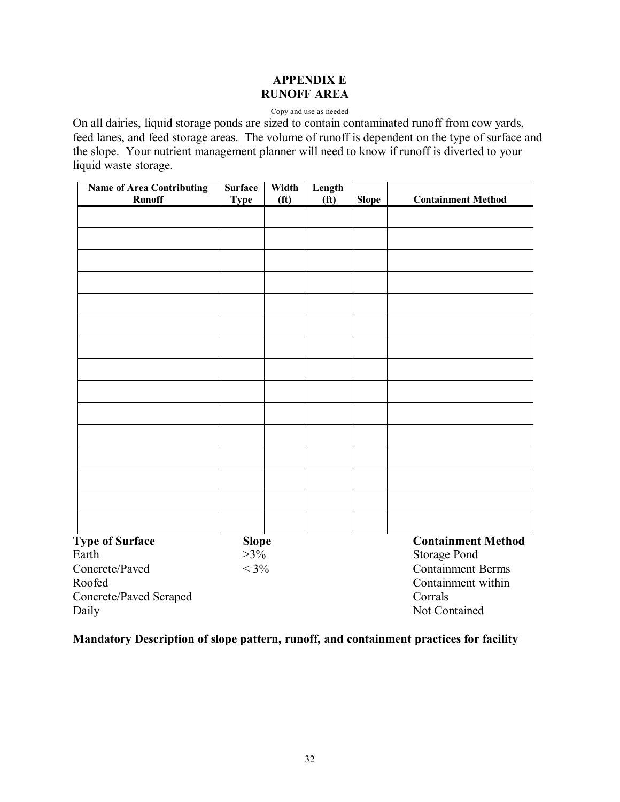#### **APPENDIX E RUNOFF AREA**

#### Copy and use as needed

On all dairies, liquid storage ponds are sized to contain contaminated runoff from cow yards, feed lanes, and feed storage areas. The volume of runoff is dependent on the type of surface and the slope. Your nutrient management planner will need to know if runoff is diverted to your liquid waste storage.

| <b>Name of Area Contributing</b><br><b>Runoff</b> | <b>Surface</b><br><b>Type</b> | Width<br>(f <sup>t</sup> ) | Length<br>(f <sup>t</sup> ) | <b>Slope</b> | <b>Containment Method</b> |
|---------------------------------------------------|-------------------------------|----------------------------|-----------------------------|--------------|---------------------------|
|                                                   |                               |                            |                             |              |                           |
|                                                   |                               |                            |                             |              |                           |
|                                                   |                               |                            |                             |              |                           |
|                                                   |                               |                            |                             |              |                           |
|                                                   |                               |                            |                             |              |                           |
|                                                   |                               |                            |                             |              |                           |
|                                                   |                               |                            |                             |              |                           |
|                                                   |                               |                            |                             |              |                           |
|                                                   |                               |                            |                             |              |                           |
|                                                   |                               |                            |                             |              |                           |
|                                                   |                               |                            |                             |              |                           |
|                                                   |                               |                            |                             |              |                           |
|                                                   |                               |                            |                             |              |                           |
|                                                   |                               |                            |                             |              |                           |
|                                                   |                               |                            |                             |              |                           |
|                                                   |                               |                            |                             |              |                           |
| <b>Type of Surface</b>                            | <b>Slope</b>                  |                            |                             |              | <b>Containment Method</b> |
| Earth                                             | $>3\%$                        |                            |                             |              | <b>Storage Pond</b>       |
| Concrete/Paved                                    | $< 3\%$                       |                            |                             |              | <b>Containment Berms</b>  |
| Roofed                                            |                               |                            |                             |              | Containment within        |
| Concrete/Paved Scraped                            |                               |                            |                             |              | Corrals                   |
| Daily                                             |                               |                            |                             |              | Not Contained             |

**Mandatory Description of slope pattern, runoff, and containment practices for facility**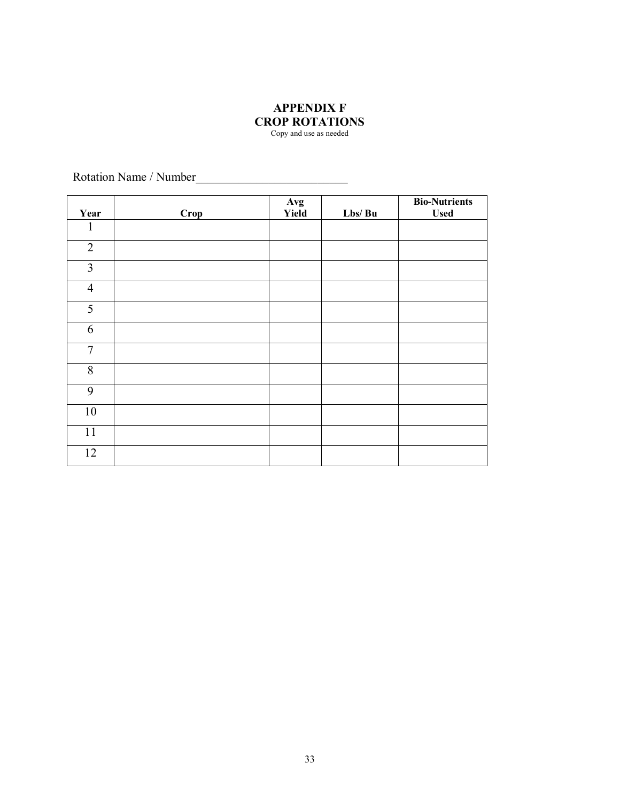#### **APPENDIX F CROP ROTATIONS**  Copy and use as needed

Rotation Name / Number\_\_\_\_\_\_\_\_\_\_\_\_\_\_\_\_\_\_\_\_\_\_\_\_\_

|                |             | Avg   |             | <b>Bio-Nutrients</b> |
|----------------|-------------|-------|-------------|----------------------|
| Year           | <b>Crop</b> | Yield | $Lbs/ \,Bu$ | <b>Used</b>          |
| 1              |             |       |             |                      |
| $\overline{2}$ |             |       |             |                      |
| $\overline{3}$ |             |       |             |                      |
| $\overline{4}$ |             |       |             |                      |
| $\mathfrak s$  |             |       |             |                      |
| 6              |             |       |             |                      |
| $\overline{7}$ |             |       |             |                      |
| 8              |             |       |             |                      |
| 9              |             |       |             |                      |
| $10\,$         |             |       |             |                      |
| 11             |             |       |             |                      |
| 12             |             |       |             |                      |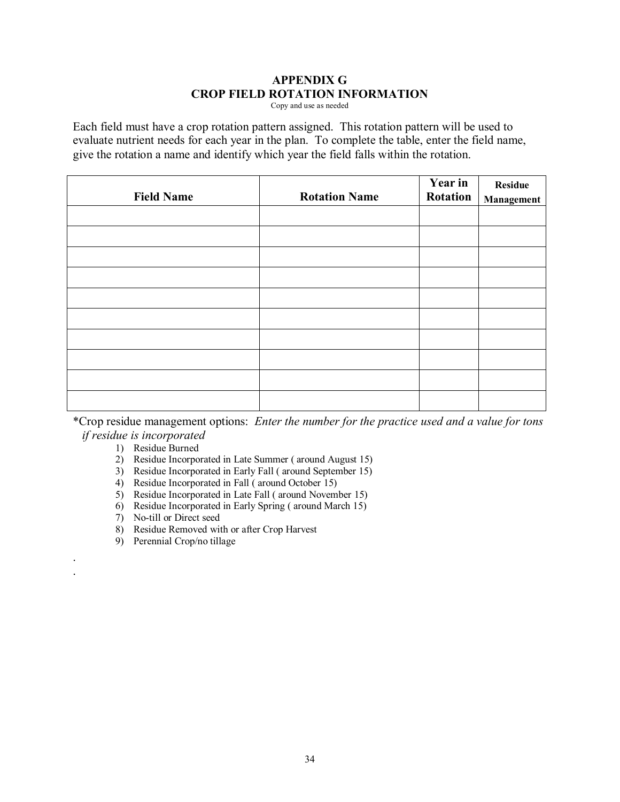### **APPENDIX G CROP FIELD ROTATION INFORMATION**

Copy and use as needed

Each field must have a crop rotation pattern assigned. This rotation pattern will be used to evaluate nutrient needs for each year in the plan. To complete the table, enter the field name, give the rotation a name and identify which year the field falls within the rotation.

| <b>Field Name</b> | <b>Rotation Name</b> | Year in<br>Rotation | <b>Residue</b><br>Management |
|-------------------|----------------------|---------------------|------------------------------|
|                   |                      |                     |                              |
|                   |                      |                     |                              |
|                   |                      |                     |                              |
|                   |                      |                     |                              |
|                   |                      |                     |                              |
|                   |                      |                     |                              |
|                   |                      |                     |                              |
|                   |                      |                     |                              |
|                   |                      |                     |                              |
|                   |                      |                     |                              |

\*Crop residue management options: *Enter the number for the practice used and a value for tons if residue is incorporated* 

- 1) Residue Burned
- 2) Residue Incorporated in Late Summer ( around August 15)
- 3) Residue Incorporated in Early Fall ( around September 15)
- 4) Residue Incorporated in Fall ( around October 15)
- 5) Residue Incorporated in Late Fall ( around November 15)
- 6) Residue Incorporated in Early Spring ( around March 15)
- 7) No-till or Direct seed

. .

- 8) Residue Removed with or after Crop Harvest
- 9) Perennial Crop/no tillage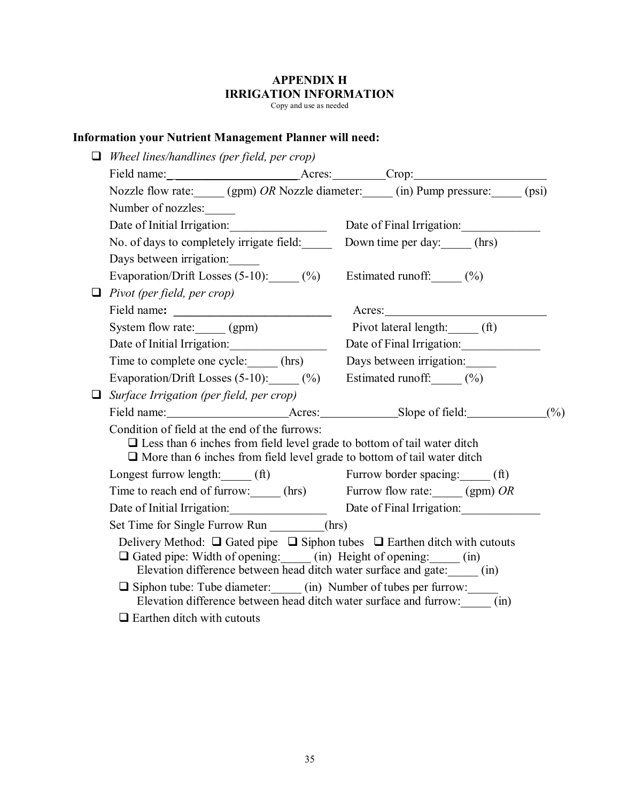# **APPENDIX H IRRIGATION INFORMATION**

Copy and use as needed

# **Information your Nutrient Management Planner will need:**

| $\Box$ Wheel lines/handlines (per field, per crop)                                                                                                                                                                               |                            |
|----------------------------------------------------------------------------------------------------------------------------------------------------------------------------------------------------------------------------------|----------------------------|
|                                                                                                                                                                                                                                  |                            |
| Nozzle flow rate: (gpm) OR Nozzle diameter: (in) Pump pressure: (psi)                                                                                                                                                            |                            |
| Number of nozzles:                                                                                                                                                                                                               |                            |
| Date of Initial Irrigation:                                                                                                                                                                                                      | Date of Final Irrigation:  |
| No. of days to completely irrigate field:                                                                                                                                                                                        | Down time per day: (hrs)   |
| Days between irrigation:                                                                                                                                                                                                         |                            |
| Evaporation/Drift Losses $(5-10)$ : $(%)$ Estimated runoff: $(%)$                                                                                                                                                                |                            |
| $\Box$ Pivot (per field, per crop)                                                                                                                                                                                               |                            |
| Field name:<br><u> 1980 - Jan Samuel Barbara, martin di</u>                                                                                                                                                                      |                            |
| System flow rate: (gpm)                                                                                                                                                                                                          | Pivot lateral length: (ft) |
| Date of Initial Irrigation:                                                                                                                                                                                                      | Date of Final Irrigation:  |
| Time to complete one cycle: (hrs)                                                                                                                                                                                                | Days between irrigation:   |
| Evaporation/Drift Losses $(5-10)$ : $(%)$ Estimated runoff: $(%)$                                                                                                                                                                |                            |
| Surface Irrigation (per field, per crop)<br>$\Box$                                                                                                                                                                               |                            |
|                                                                                                                                                                                                                                  | (%)                        |
| Condition of field at the end of the furrows:<br>$\Box$ Less than 6 inches from field level grade to bottom of tail water ditch<br>$\Box$ More than 6 inches from field level grade to bottom of tail water ditch                |                            |
| Longest furrow length: (ft) Furrow border spacing: (ft)                                                                                                                                                                          |                            |
| Time to reach end of furrow: (hrs) Furrow flow rate: (gpm) OR                                                                                                                                                                    |                            |
| Date of Initial Irrigation: Date of Final Irrigation:                                                                                                                                                                            |                            |
| Set Time for Single Furrow Run (hrs)                                                                                                                                                                                             |                            |
| Delivery Method: $\Box$ Gated pipe $\Box$ Siphon tubes $\Box$ Earthen ditch with cutouts<br>□ Gated pipe: Width of opening: (in) Height of opening: (in)<br>Elevation difference between head ditch water surface and gate: (in) |                            |
| □ Siphon tube: Tube diameter: (in) Number of tubes per furrow:<br>Elevation difference between head ditch water surface and furrow: (in)                                                                                         |                            |
| $\Box$ Earthen ditch with cutouts                                                                                                                                                                                                |                            |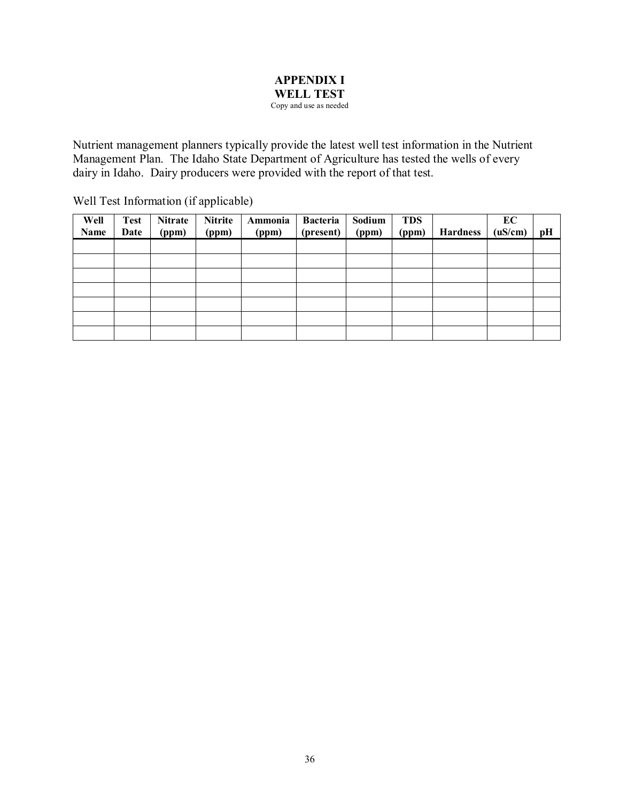#### **APPENDIX I WELL TEST**  Copy and use as needed

Nutrient management planners typically provide the latest well test information in the Nutrient Management Plan. The Idaho State Department of Agriculture has tested the wells of every dairy in Idaho. Dairy producers were provided with the report of that test.

Well Test Information (if applicable)

| Well<br>Name | <b>Test</b><br>Date | <b>Nitrate</b><br>(ppm) | <b>Nitrite</b><br>(ppm) | Ammonia<br>(ppm) | <b>Bacteria</b><br>(present) | Sodium<br>(ppm) | <b>TDS</b><br>(ppm) | <b>Hardness</b> | EC<br>(uS/cm) | pH |
|--------------|---------------------|-------------------------|-------------------------|------------------|------------------------------|-----------------|---------------------|-----------------|---------------|----|
|              |                     |                         |                         |                  |                              |                 |                     |                 |               |    |
|              |                     |                         |                         |                  |                              |                 |                     |                 |               |    |
|              |                     |                         |                         |                  |                              |                 |                     |                 |               |    |
|              |                     |                         |                         |                  |                              |                 |                     |                 |               |    |
|              |                     |                         |                         |                  |                              |                 |                     |                 |               |    |
|              |                     |                         |                         |                  |                              |                 |                     |                 |               |    |
|              |                     |                         |                         |                  |                              |                 |                     |                 |               |    |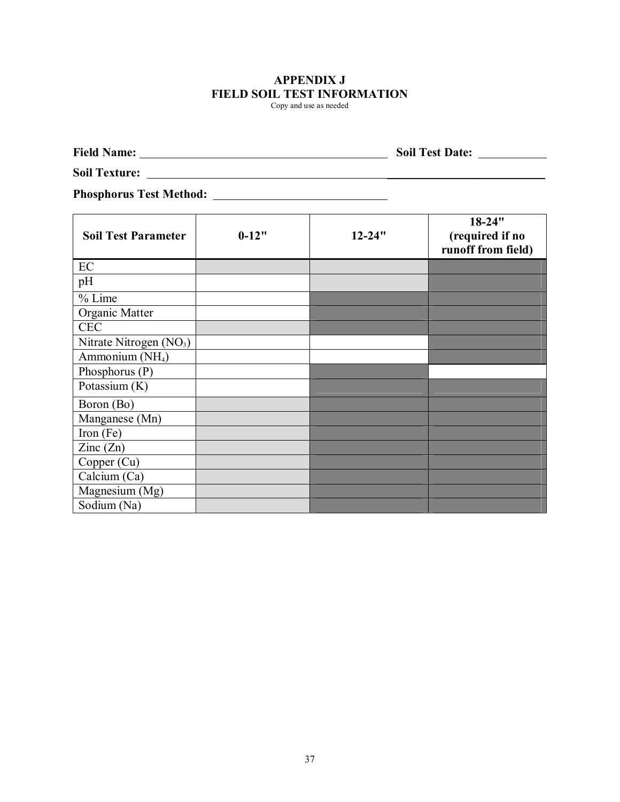# **APPENDIX J FIELD SOIL TEST INFORMATION**

Copy and use as needed

**Field Name: Soil Test Date:** 

**Soil Texture:** \_\_\_\_\_\_\_\_\_\_\_\_\_\_\_\_\_\_\_\_\_\_\_\_\_\_

**Phosphorus Test Method:** 

| <b>Soil Test Parameter</b>  | $0 - 12"$ | $12 - 24"$ | $18 - 24"$<br>(required if no<br>runoff from field) |
|-----------------------------|-----------|------------|-----------------------------------------------------|
| EC                          |           |            |                                                     |
| pH                          |           |            |                                                     |
| $%$ Lime                    |           |            |                                                     |
| Organic Matter              |           |            |                                                     |
| <b>CEC</b>                  |           |            |                                                     |
| Nitrate Nitrogen $(NO3)$    |           |            |                                                     |
| Ammonium (NH <sub>4</sub> ) |           |            |                                                     |
| Phosphorus $(P)$            |           |            |                                                     |
| Potassium $(K)$             |           |            |                                                     |
| Boron (Bo)                  |           |            |                                                     |
| Manganese (Mn)              |           |            |                                                     |
| Iron $(Fe)$                 |           |            |                                                     |
| $\text{Zinc}(\text{Zn})$    |           |            |                                                     |
| Copper (Cu)                 |           |            |                                                     |
| Calcium (Ca)                |           |            |                                                     |
| Magnesium (Mg)              |           |            |                                                     |
| Sodium (Na)                 |           |            |                                                     |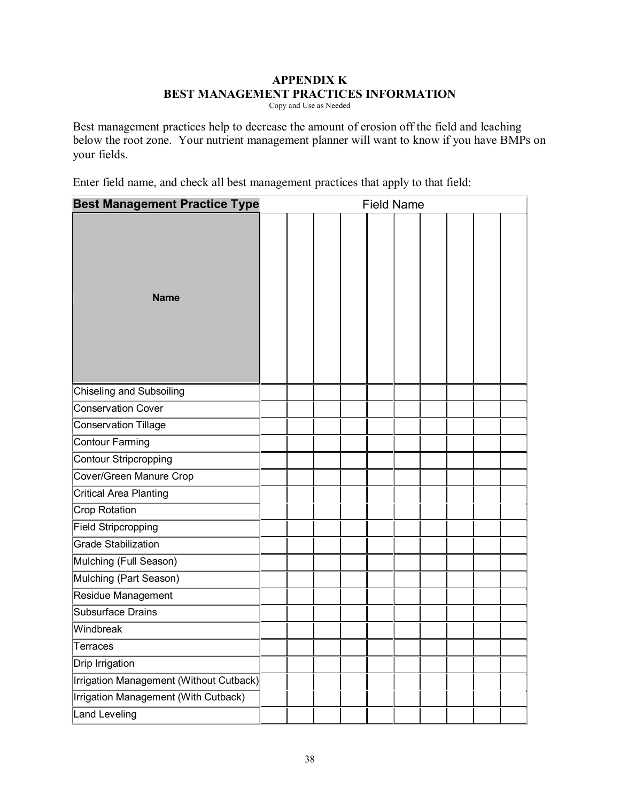# **APPENDIX K BEST MANAGEMENT PRACTICES INFORMATION**

Copy and Use as Needed

Best management practices help to decrease the amount of erosion off the field and leaching below the root zone. Your nutrient management planner will want to know if you have BMPs on your fields.

Enter field name, and check all best management practices that apply to that field:

| <b>Best Management Practice Type</b>    | <b>Field Name</b> |  |  |  |  |  |  |
|-----------------------------------------|-------------------|--|--|--|--|--|--|
| <b>Name</b>                             |                   |  |  |  |  |  |  |
| Chiseling and Subsoiling                |                   |  |  |  |  |  |  |
| <b>Conservation Cover</b>               |                   |  |  |  |  |  |  |
| <b>Conservation Tillage</b>             |                   |  |  |  |  |  |  |
| <b>Contour Farming</b>                  |                   |  |  |  |  |  |  |
| <b>Contour Stripcropping</b>            |                   |  |  |  |  |  |  |
| Cover/Green Manure Crop                 |                   |  |  |  |  |  |  |
| <b>Critical Area Planting</b>           |                   |  |  |  |  |  |  |
| Crop Rotation                           |                   |  |  |  |  |  |  |
| <b>Field Stripcropping</b>              |                   |  |  |  |  |  |  |
| <b>Grade Stabilization</b>              |                   |  |  |  |  |  |  |
| Mulching (Full Season)                  |                   |  |  |  |  |  |  |
| Mulching (Part Season)                  |                   |  |  |  |  |  |  |
| Residue Management                      |                   |  |  |  |  |  |  |
| <b>Subsurface Drains</b>                |                   |  |  |  |  |  |  |
| Windbreak                               |                   |  |  |  |  |  |  |
| <b>Terraces</b>                         |                   |  |  |  |  |  |  |
| Drip Irrigation                         |                   |  |  |  |  |  |  |
| Irrigation Management (Without Cutback) |                   |  |  |  |  |  |  |
| Irrigation Management (With Cutback)    |                   |  |  |  |  |  |  |
| Land Leveling                           |                   |  |  |  |  |  |  |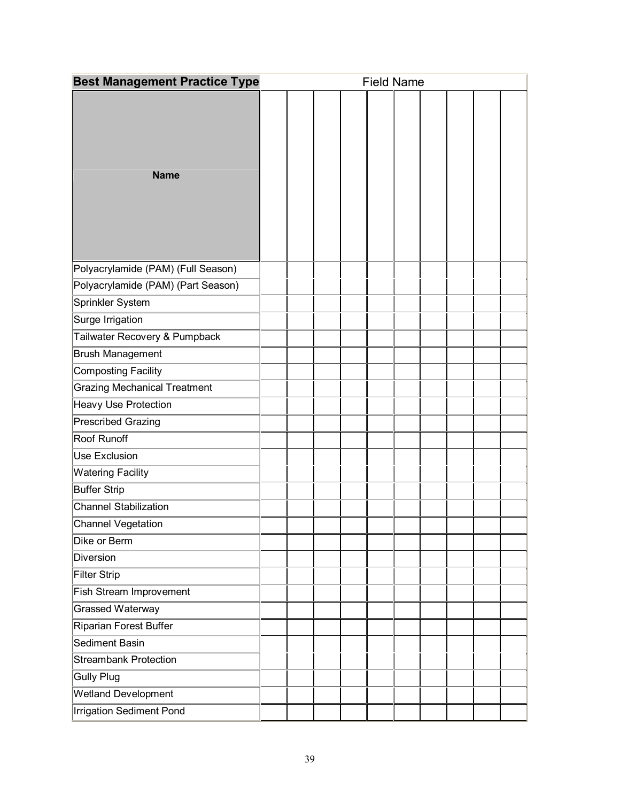| <b>Best Management Practice Type</b> |  |  |  |  |  | <b>Field Name</b> |  |  |  |  |  |  |  |
|--------------------------------------|--|--|--|--|--|-------------------|--|--|--|--|--|--|--|
| <b>Name</b>                          |  |  |  |  |  |                   |  |  |  |  |  |  |  |
| Polyacrylamide (PAM) (Full Season)   |  |  |  |  |  |                   |  |  |  |  |  |  |  |
| Polyacrylamide (PAM) (Part Season)   |  |  |  |  |  |                   |  |  |  |  |  |  |  |
| Sprinkler System                     |  |  |  |  |  |                   |  |  |  |  |  |  |  |
| Surge Irrigation                     |  |  |  |  |  |                   |  |  |  |  |  |  |  |
| Tailwater Recovery & Pumpback        |  |  |  |  |  |                   |  |  |  |  |  |  |  |
| <b>Brush Management</b>              |  |  |  |  |  |                   |  |  |  |  |  |  |  |
| <b>Composting Facility</b>           |  |  |  |  |  |                   |  |  |  |  |  |  |  |
| <b>Grazing Mechanical Treatment</b>  |  |  |  |  |  |                   |  |  |  |  |  |  |  |
| Heavy Use Protection                 |  |  |  |  |  |                   |  |  |  |  |  |  |  |
| <b>Prescribed Grazing</b>            |  |  |  |  |  |                   |  |  |  |  |  |  |  |
| Roof Runoff                          |  |  |  |  |  |                   |  |  |  |  |  |  |  |
| <b>Use Exclusion</b>                 |  |  |  |  |  |                   |  |  |  |  |  |  |  |
| <b>Watering Facility</b>             |  |  |  |  |  |                   |  |  |  |  |  |  |  |
| <b>Buffer Strip</b>                  |  |  |  |  |  |                   |  |  |  |  |  |  |  |
| <b>Channel Stabilization</b>         |  |  |  |  |  |                   |  |  |  |  |  |  |  |
| <b>Channel Vegetation</b>            |  |  |  |  |  |                   |  |  |  |  |  |  |  |
| Dike or Berm                         |  |  |  |  |  |                   |  |  |  |  |  |  |  |
| Diversion                            |  |  |  |  |  |                   |  |  |  |  |  |  |  |
| <b>Filter Strip</b>                  |  |  |  |  |  |                   |  |  |  |  |  |  |  |
| Fish Stream Improvement              |  |  |  |  |  |                   |  |  |  |  |  |  |  |
| Grassed Waterway                     |  |  |  |  |  |                   |  |  |  |  |  |  |  |
| Riparian Forest Buffer               |  |  |  |  |  |                   |  |  |  |  |  |  |  |
| Sediment Basin                       |  |  |  |  |  |                   |  |  |  |  |  |  |  |
| <b>Streambank Protection</b>         |  |  |  |  |  |                   |  |  |  |  |  |  |  |
| <b>Gully Plug</b>                    |  |  |  |  |  |                   |  |  |  |  |  |  |  |
| Wetland Development                  |  |  |  |  |  |                   |  |  |  |  |  |  |  |
| <b>Irrigation Sediment Pond</b>      |  |  |  |  |  |                   |  |  |  |  |  |  |  |